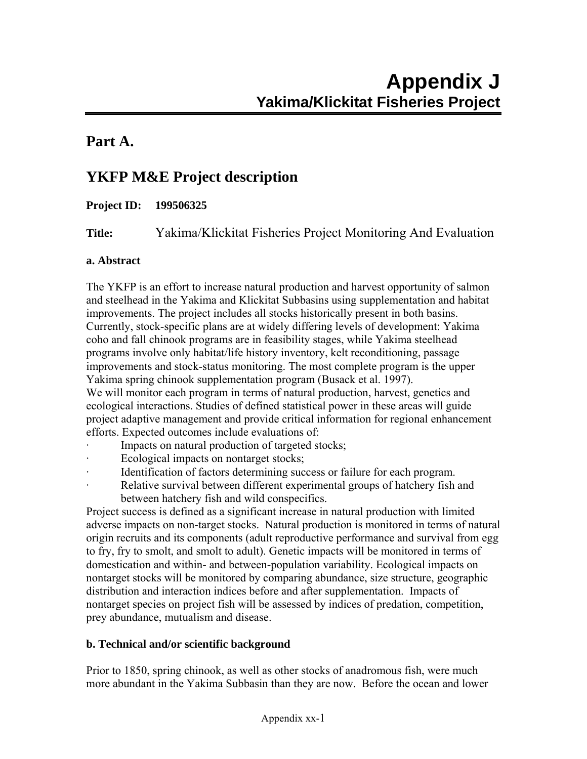## **Part A.**

# **YKFP M&E Project description**

#### **Project ID: 199506325**

**Title:** Yakima/Klickitat Fisheries Project Monitoring And Evaluation

#### **a. Abstract**

The YKFP is an effort to increase natural production and harvest opportunity of salmon and steelhead in the Yakima and Klickitat Subbasins using supplementation and habitat improvements. The project includes all stocks historically present in both basins. Currently, stock-specific plans are at widely differing levels of development: Yakima coho and fall chinook programs are in feasibility stages, while Yakima steelhead programs involve only habitat/life history inventory, kelt reconditioning, passage improvements and stock-status monitoring. The most complete program is the upper Yakima spring chinook supplementation program (Busack et al. 1997). We will monitor each program in terms of natural production, harvest, genetics and

ecological interactions. Studies of defined statistical power in these areas will guide project adaptive management and provide critical information for regional enhancement efforts. Expected outcomes include evaluations of:

- Impacts on natural production of targeted stocks;
- Ecological impacts on nontarget stocks;
- Identification of factors determining success or failure for each program.
	- Relative survival between different experimental groups of hatchery fish and between hatchery fish and wild conspecifics.

Project success is defined as a significant increase in natural production with limited adverse impacts on non-target stocks. Natural production is monitored in terms of natural origin recruits and its components (adult reproductive performance and survival from egg to fry, fry to smolt, and smolt to adult). Genetic impacts will be monitored in terms of domestication and within- and between-population variability. Ecological impacts on nontarget stocks will be monitored by comparing abundance, size structure, geographic distribution and interaction indices before and after supplementation. Impacts of nontarget species on project fish will be assessed by indices of predation, competition, prey abundance, mutualism and disease.

#### **b. Technical and/or scientific background**

Prior to 1850, spring chinook, as well as other stocks of anadromous fish, were much more abundant in the Yakima Subbasin than they are now. Before the ocean and lower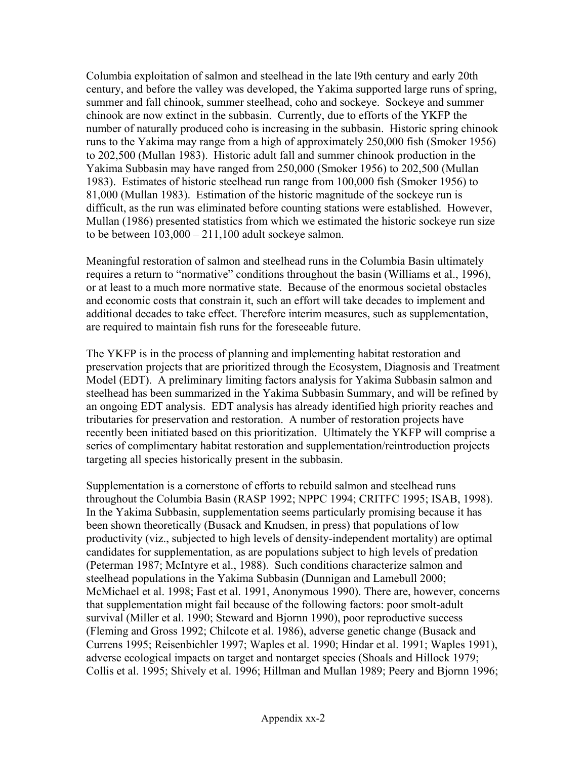Columbia exploitation of salmon and steelhead in the late l9th century and early 20th century, and before the valley was developed, the Yakima supported large runs of spring, summer and fall chinook, summer steelhead, coho and sockeye. Sockeye and summer chinook are now extinct in the subbasin. Currently, due to efforts of the YKFP the number of naturally produced coho is increasing in the subbasin. Historic spring chinook runs to the Yakima may range from a high of approximately 250,000 fish (Smoker 1956) to 202,500 (Mullan 1983). Historic adult fall and summer chinook production in the Yakima Subbasin may have ranged from 250,000 (Smoker 1956) to 202,500 (Mullan 1983). Estimates of historic steelhead run range from 100,000 fish (Smoker 1956) to 81,000 (Mullan 1983). Estimation of the historic magnitude of the sockeye run is difficult, as the run was eliminated before counting stations were established. However, Mullan (1986) presented statistics from which we estimated the historic sockeye run size to be between  $103,000 - 211,100$  adult sockeye salmon.

Meaningful restoration of salmon and steelhead runs in the Columbia Basin ultimately requires a return to "normative" conditions throughout the basin (Williams et al., 1996), or at least to a much more normative state. Because of the enormous societal obstacles and economic costs that constrain it, such an effort will take decades to implement and additional decades to take effect. Therefore interim measures, such as supplementation, are required to maintain fish runs for the foreseeable future.

The YKFP is in the process of planning and implementing habitat restoration and preservation projects that are prioritized through the Ecosystem, Diagnosis and Treatment Model (EDT). A preliminary limiting factors analysis for Yakima Subbasin salmon and steelhead has been summarized in the Yakima Subbasin Summary, and will be refined by an ongoing EDT analysis. EDT analysis has already identified high priority reaches and tributaries for preservation and restoration. A number of restoration projects have recently been initiated based on this prioritization. Ultimately the YKFP will comprise a series of complimentary habitat restoration and supplementation/reintroduction projects targeting all species historically present in the subbasin.

Supplementation is a cornerstone of efforts to rebuild salmon and steelhead runs throughout the Columbia Basin (RASP 1992; NPPC 1994; CRITFC 1995; ISAB, 1998). In the Yakima Subbasin, supplementation seems particularly promising because it has been shown theoretically (Busack and Knudsen, in press) that populations of low productivity (viz., subjected to high levels of density-independent mortality) are optimal candidates for supplementation, as are populations subject to high levels of predation (Peterman 1987; McIntyre et al., 1988). Such conditions characterize salmon and steelhead populations in the Yakima Subbasin (Dunnigan and Lamebull 2000; McMichael et al. 1998; Fast et al. 1991, Anonymous 1990). There are, however, concerns that supplementation might fail because of the following factors: poor smolt-adult survival (Miller et al. 1990; Steward and Bjornn 1990), poor reproductive success (Fleming and Gross 1992; Chilcote et al. 1986), adverse genetic change (Busack and Currens 1995; Reisenbichler 1997; Waples et al. 1990; Hindar et al. 1991; Waples 1991), adverse ecological impacts on target and nontarget species (Shoals and Hillock 1979; Collis et al. 1995; Shively et al. 1996; Hillman and Mullan 1989; Peery and Bjornn 1996;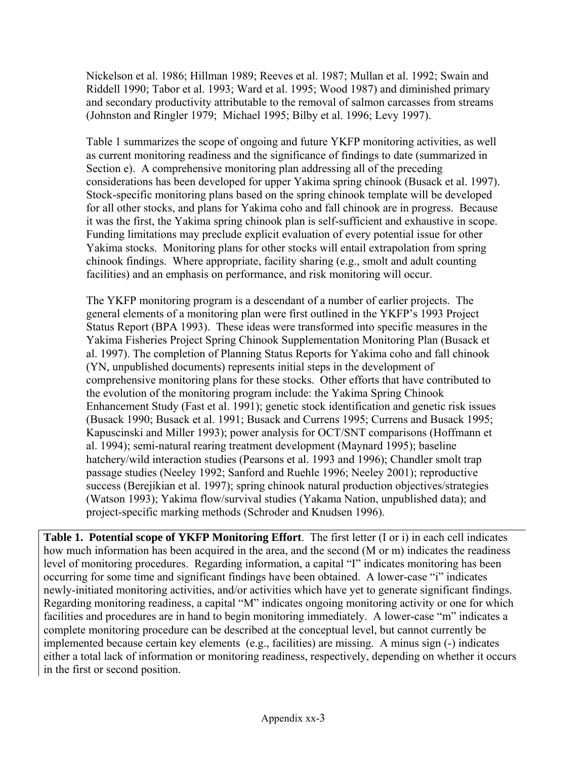Nickelson et al. 1986; Hillman 1989; Reeves et al. 1987; Mullan et al. 1992; Swain and Riddell 1990; Tabor et al. 1993; Ward et al. 1995; Wood 1987) and diminished primary and secondary productivity attributable to the removal of salmon carcasses from streams (Johnston and Ringler 1979; Michael 1995; Bilby et al. 1996; Levy 1997).

Table 1 summarizes the scope of ongoing and future YKFP monitoring activities, as well as current monitoring readiness and the significance of findings to date (summarized in Section e). A comprehensive monitoring plan addressing all of the preceding considerations has been developed for upper Yakima spring chinook (Busack et al. 1997). Stock-specific monitoring plans based on the spring chinook template will be developed for all other stocks, and plans for Yakima coho and fall chinook are in progress. Because it was the first, the Yakima spring chinook plan is self-sufficient and exhaustive in scope. Funding limitations may preclude explicit evaluation of every potential issue for other Yakima stocks. Monitoring plans for other stocks will entail extrapolation from spring chinook findings. Where appropriate, facility sharing (e.g., smolt and adult counting facilities) and an emphasis on performance, and risk monitoring will occur.

The YKFP monitoring program is a descendant of a number of earlier projects. The general elements of a monitoring plan were first outlined in the YKFP's 1993 Project Status Report (BPA 1993). These ideas were transformed into specific measures in the Yakima Fisheries Project Spring Chinook Supplementation Monitoring Plan (Busack et al. 1997). The completion of Planning Status Reports for Yakima coho and fall chinook (YN, unpublished documents) represents initial steps in the development of comprehensive monitoring plans for these stocks. Other efforts that have contributed to the evolution of the monitoring program include: the Yakima Spring Chinook Enhancement Study (Fast et al. 1991); genetic stock identification and genetic risk issues (Busack 1990; Busack et al. 1991; Busack and Currens 1995; Currens and Busack 1995; Kapuscinski and Miller 1993); power analysis for OCT/SNT comparisons (Hoffmann et al. 1994); semi-natural rearing treatment development (Maynard 1995); baseline hatchery/wild interaction studies (Pearsons et al. 1993 and 1996); Chandler smolt trap passage studies (Neeley 1992; Sanford and Ruehle 1996; Neeley 2001); reproductive success (Berejikian et al. 1997); spring chinook natural production objectives/strategies (Watson 1993); Yakima flow/survival studies (Yakama Nation, unpublished data); and project-specific marking methods (Schroder and Knudsen 1996).

**Table 1. Potential scope of YKFP Monitoring Effort**. The first letter (I or i) in each cell indicates how much information has been acquired in the area, and the second (M or m) indicates the readiness level of monitoring procedures. Regarding information, a capital "I" indicates monitoring has been occurring for some time and significant findings have been obtained. A lower-case "i" indicates newly-initiated monitoring activities, and/or activities which have yet to generate significant findings. Regarding monitoring readiness, a capital "M" indicates ongoing monitoring activity or one for which facilities and procedures are in hand to begin monitoring immediately. A lower-case "m" indicates a complete monitoring procedure can be described at the conceptual level, but cannot currently be implemented because certain key elements (e.g., facilities) are missing. A minus sign (-) indicates either a total lack of information or monitoring readiness, respectively, depending on whether it occurs in the first or second position.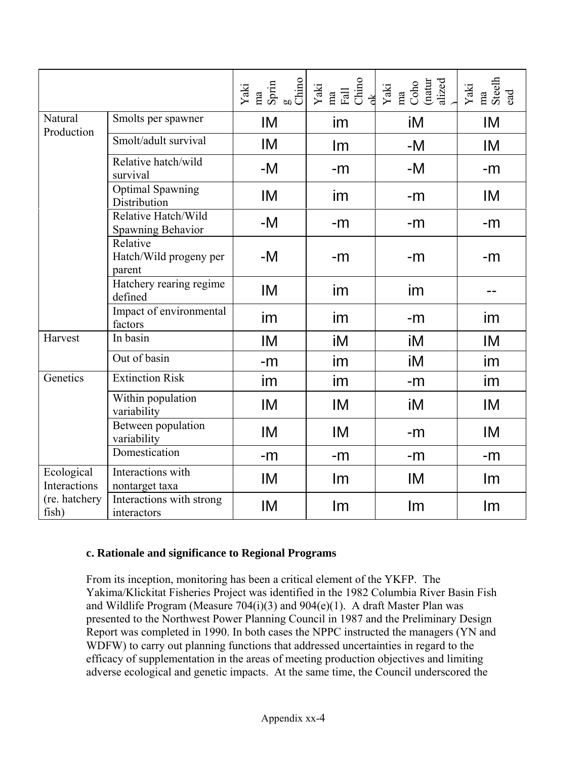|                            |                                              |      | $\begin{tabular}{l c} \hline \texttt{Yaki} \\ \hline \texttt{ma} \\ \texttt{Spm} \\ \texttt{Spm} \\ \texttt{Cline} \\ \texttt{Yaki} \\ \texttt{Adl} \\ \texttt{Cline} \\ \texttt{Cline} \\ \texttt{A} \\ \end{tabular}$ | $\begin{array}{l}{\bf Yaki}\\{\bf ma}\\ {\bf Cobo}\\ {\bf (natural)}\\ {\bf (smallrad)}\end{array}$ | ${\bf Yak\bar{a}}$ ma<br>Steelh<br>Steelh |
|----------------------------|----------------------------------------------|------|-------------------------------------------------------------------------------------------------------------------------------------------------------------------------------------------------------------------------|-----------------------------------------------------------------------------------------------------|-------------------------------------------|
| Natural<br>Production      | Smolts per spawner                           | IM   | im                                                                                                                                                                                                                      | iM                                                                                                  | IM                                        |
|                            | Smolt/adult survival                         | IM   | Im                                                                                                                                                                                                                      | $-M$                                                                                                | IM                                        |
|                            | Relative hatch/wild<br>survival              | -M   | $-m$                                                                                                                                                                                                                    | $-M$                                                                                                | $-m$                                      |
|                            | <b>Optimal Spawning</b><br>Distribution      | IM   | im                                                                                                                                                                                                                      | $-m$                                                                                                | IM                                        |
|                            | Relative Hatch/Wild<br>Spawning Behavior     | -M   | $-m$                                                                                                                                                                                                                    | $-m$                                                                                                | $-m$                                      |
|                            | Relative<br>Hatch/Wild progeny per<br>parent | -M   | $-m$                                                                                                                                                                                                                    | $-m$                                                                                                | $-m$                                      |
|                            | Hatchery rearing regime<br>defined           | IM   | im                                                                                                                                                                                                                      | im                                                                                                  |                                           |
|                            | Impact of environmental<br>factors           | im   | im                                                                                                                                                                                                                      | -m                                                                                                  | im                                        |
| Harvest                    | In basin                                     | IM   | iM                                                                                                                                                                                                                      | iM                                                                                                  | IM                                        |
|                            | Out of basin                                 | -m   | im                                                                                                                                                                                                                      | iM                                                                                                  | im                                        |
| Genetics                   | <b>Extinction Risk</b>                       | im   | im                                                                                                                                                                                                                      | $-m$                                                                                                | im                                        |
|                            | Within population<br>variability             | IM   | IM                                                                                                                                                                                                                      | iM                                                                                                  | IM                                        |
|                            | Between population<br>variability            | IM   | IM                                                                                                                                                                                                                      | $-m$                                                                                                | IM                                        |
|                            | Domestication                                | $-m$ | $-m$                                                                                                                                                                                                                    | $-m$                                                                                                | $-m$                                      |
| Ecological<br>Interactions | Interactions with<br>nontarget taxa          | IM   | Im                                                                                                                                                                                                                      | IM                                                                                                  | Im                                        |
| (re. hatchery<br>fish)     | Interactions with strong<br>interactors      | IM   | Im                                                                                                                                                                                                                      | Im                                                                                                  | Im                                        |

#### **c. Rationale and significance to Regional Programs**

From its inception, monitoring has been a critical element of the YKFP. The Yakima/Klickitat Fisheries Project was identified in the 1982 Columbia River Basin Fish and Wildlife Program (Measure  $704(i)(3)$  and  $904(e)(1)$ . A draft Master Plan was presented to the Northwest Power Planning Council in 1987 and the Preliminary Design Report was completed in 1990. In both cases the NPPC instructed the managers (YN and WDFW) to carry out planning functions that addressed uncertainties in regard to the efficacy of supplementation in the areas of meeting production objectives and limiting adverse ecological and genetic impacts. At the same time, the Council underscored the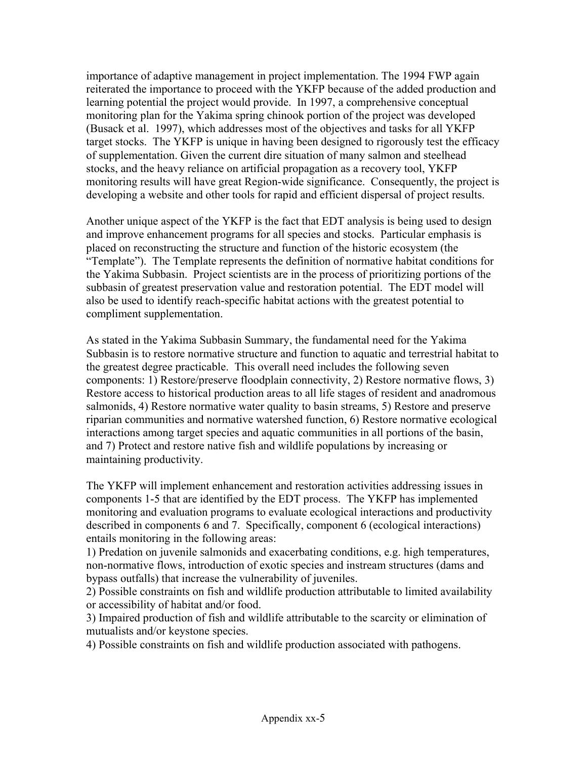importance of adaptive management in project implementation. The 1994 FWP again reiterated the importance to proceed with the YKFP because of the added production and learning potential the project would provide. In 1997, a comprehensive conceptual monitoring plan for the Yakima spring chinook portion of the project was developed (Busack et al. 1997), which addresses most of the objectives and tasks for all YKFP target stocks. The YKFP is unique in having been designed to rigorously test the efficacy of supplementation. Given the current dire situation of many salmon and steelhead stocks, and the heavy reliance on artificial propagation as a recovery tool, YKFP monitoring results will have great Region-wide significance. Consequently, the project is developing a website and other tools for rapid and efficient dispersal of project results.

Another unique aspect of the YKFP is the fact that EDT analysis is being used to design and improve enhancement programs for all species and stocks. Particular emphasis is placed on reconstructing the structure and function of the historic ecosystem (the "Template"). The Template represents the definition of normative habitat conditions for the Yakima Subbasin. Project scientists are in the process of prioritizing portions of the subbasin of greatest preservation value and restoration potential. The EDT model will also be used to identify reach-specific habitat actions with the greatest potential to compliment supplementation.

As stated in the Yakima Subbasin Summary, the fundamental need for the Yakima Subbasin is to restore normative structure and function to aquatic and terrestrial habitat to the greatest degree practicable. This overall need includes the following seven components: 1) Restore/preserve floodplain connectivity, 2) Restore normative flows, 3) Restore access to historical production areas to all life stages of resident and anadromous salmonids, 4) Restore normative water quality to basin streams, 5) Restore and preserve riparian communities and normative watershed function, 6) Restore normative ecological interactions among target species and aquatic communities in all portions of the basin, and 7) Protect and restore native fish and wildlife populations by increasing or maintaining productivity.

The YKFP will implement enhancement and restoration activities addressing issues in components 1-5 that are identified by the EDT process. The YKFP has implemented monitoring and evaluation programs to evaluate ecological interactions and productivity described in components 6 and 7. Specifically, component 6 (ecological interactions) entails monitoring in the following areas:

1) Predation on juvenile salmonids and exacerbating conditions, e.g. high temperatures, non-normative flows, introduction of exotic species and instream structures (dams and bypass outfalls) that increase the vulnerability of juveniles.

2) Possible constraints on fish and wildlife production attributable to limited availability or accessibility of habitat and/or food.

3) Impaired production of fish and wildlife attributable to the scarcity or elimination of mutualists and/or keystone species.

4) Possible constraints on fish and wildlife production associated with pathogens.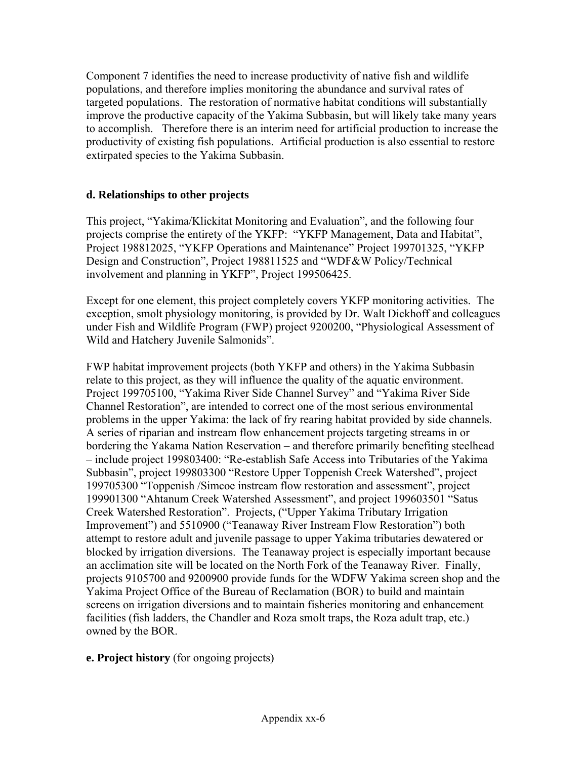Component 7 identifies the need to increase productivity of native fish and wildlife populations, and therefore implies monitoring the abundance and survival rates of targeted populations. The restoration of normative habitat conditions will substantially improve the productive capacity of the Yakima Subbasin, but will likely take many years to accomplish. Therefore there is an interim need for artificial production to increase the productivity of existing fish populations. Artificial production is also essential to restore extirpated species to the Yakima Subbasin.

#### **d. Relationships to other projects**

This project, "Yakima/Klickitat Monitoring and Evaluation", and the following four projects comprise the entirety of the YKFP: "YKFP Management, Data and Habitat", Project 198812025, "YKFP Operations and Maintenance" Project 199701325, "YKFP Design and Construction", Project 198811525 and "WDF&W Policy/Technical involvement and planning in YKFP", Project 199506425.

Except for one element, this project completely covers YKFP monitoring activities. The exception, smolt physiology monitoring, is provided by Dr. Walt Dickhoff and colleagues under Fish and Wildlife Program (FWP) project 9200200, "Physiological Assessment of Wild and Hatchery Juvenile Salmonids".

FWP habitat improvement projects (both YKFP and others) in the Yakima Subbasin relate to this project, as they will influence the quality of the aquatic environment. Project 199705100, "Yakima River Side Channel Survey" and "Yakima River Side Channel Restoration", are intended to correct one of the most serious environmental problems in the upper Yakima: the lack of fry rearing habitat provided by side channels. A series of riparian and instream flow enhancement projects targeting streams in or bordering the Yakama Nation Reservation – and therefore primarily benefiting steelhead – include project 199803400: "Re-establish Safe Access into Tributaries of the Yakima Subbasin", project 199803300 "Restore Upper Toppenish Creek Watershed", project 199705300 "Toppenish /Simcoe instream flow restoration and assessment", project 199901300 "Ahtanum Creek Watershed Assessment", and project 199603501 "Satus Creek Watershed Restoration". Projects, ("Upper Yakima Tributary Irrigation Improvement") and 5510900 ("Teanaway River Instream Flow Restoration") both attempt to restore adult and juvenile passage to upper Yakima tributaries dewatered or blocked by irrigation diversions. The Teanaway project is especially important because an acclimation site will be located on the North Fork of the Teanaway River. Finally, projects 9105700 and 9200900 provide funds for the WDFW Yakima screen shop and the Yakima Project Office of the Bureau of Reclamation (BOR) to build and maintain screens on irrigation diversions and to maintain fisheries monitoring and enhancement facilities (fish ladders, the Chandler and Roza smolt traps, the Roza adult trap, etc.) owned by the BOR.

#### **e. Project history** (for ongoing projects)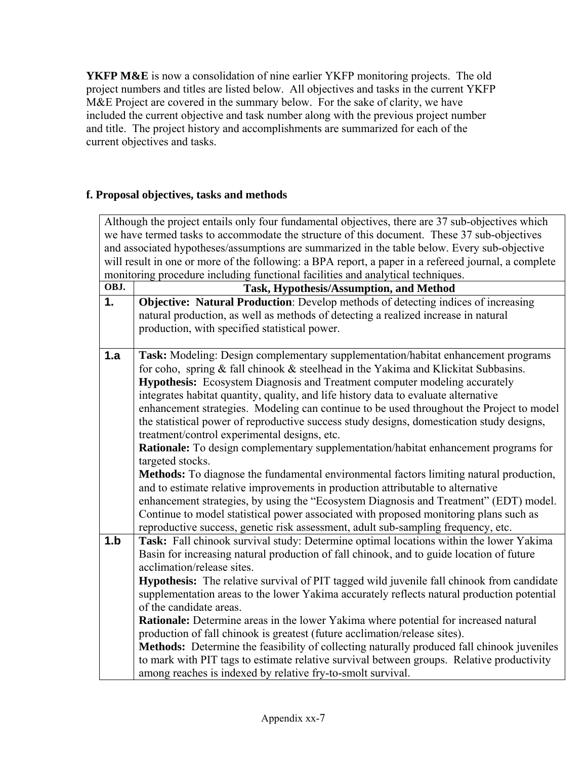**YKFP M&E** is now a consolidation of nine earlier YKFP monitoring projects. The old project numbers and titles are listed below. All objectives and tasks in the current YKFP M&E Project are covered in the summary below. For the sake of clarity, we have included the current objective and task number along with the previous project number and title. The project history and accomplishments are summarized for each of the current objectives and tasks.

#### **f. Proposal objectives, tasks and methods**

| Although the project entails only four fundamental objectives, there are 37 sub-objectives which<br>we have termed tasks to accommodate the structure of this document. These 37 sub-objectives<br>and associated hypotheses/assumptions are summarized in the table below. Every sub-objective<br>will result in one or more of the following: a BPA report, a paper in a refereed journal, a complete<br>monitoring procedure including functional facilities and analytical techniques. |                                                                                                                                                                                                                                                                                                                                                                                                                                                                                                                                                                                                                                                                                                                                                                                                                                                                                                                                                                                                                                                                                                                                                                  |  |
|--------------------------------------------------------------------------------------------------------------------------------------------------------------------------------------------------------------------------------------------------------------------------------------------------------------------------------------------------------------------------------------------------------------------------------------------------------------------------------------------|------------------------------------------------------------------------------------------------------------------------------------------------------------------------------------------------------------------------------------------------------------------------------------------------------------------------------------------------------------------------------------------------------------------------------------------------------------------------------------------------------------------------------------------------------------------------------------------------------------------------------------------------------------------------------------------------------------------------------------------------------------------------------------------------------------------------------------------------------------------------------------------------------------------------------------------------------------------------------------------------------------------------------------------------------------------------------------------------------------------------------------------------------------------|--|
| OBJ.                                                                                                                                                                                                                                                                                                                                                                                                                                                                                       | Task, Hypothesis/Assumption, and Method                                                                                                                                                                                                                                                                                                                                                                                                                                                                                                                                                                                                                                                                                                                                                                                                                                                                                                                                                                                                                                                                                                                          |  |
| 1.                                                                                                                                                                                                                                                                                                                                                                                                                                                                                         | <b>Objective: Natural Production:</b> Develop methods of detecting indices of increasing<br>natural production, as well as methods of detecting a realized increase in natural<br>production, with specified statistical power.                                                                                                                                                                                                                                                                                                                                                                                                                                                                                                                                                                                                                                                                                                                                                                                                                                                                                                                                  |  |
| 1.a                                                                                                                                                                                                                                                                                                                                                                                                                                                                                        | Task: Modeling: Design complementary supplementation/habitat enhancement programs<br>for coho, spring $&$ fall chinook $&$ steelhead in the Yakima and Klickitat Subbasins.<br><b>Hypothesis:</b> Ecosystem Diagnosis and Treatment computer modeling accurately<br>integrates habitat quantity, quality, and life history data to evaluate alternative<br>enhancement strategies. Modeling can continue to be used throughout the Project to model<br>the statistical power of reproductive success study designs, domestication study designs,<br>treatment/control experimental designs, etc.<br>Rationale: To design complementary supplementation/habitat enhancement programs for<br>targeted stocks.<br>Methods: To diagnose the fundamental environmental factors limiting natural production,<br>and to estimate relative improvements in production attributable to alternative<br>enhancement strategies, by using the "Ecosystem Diagnosis and Treatment" (EDT) model.<br>Continue to model statistical power associated with proposed monitoring plans such as<br>reproductive success, genetic risk assessment, adult sub-sampling frequency, etc. |  |
| 1.b                                                                                                                                                                                                                                                                                                                                                                                                                                                                                        | Task: Fall chinook survival study: Determine optimal locations within the lower Yakima<br>Basin for increasing natural production of fall chinook, and to guide location of future<br>acclimation/release sites.<br><b>Hypothesis:</b> The relative survival of PIT tagged wild juvenile fall chinook from candidate<br>supplementation areas to the lower Yakima accurately reflects natural production potential<br>of the candidate areas.<br>Rationale: Determine areas in the lower Yakima where potential for increased natural<br>production of fall chinook is greatest (future acclimation/release sites).<br>Methods: Determine the feasibility of collecting naturally produced fall chinook juveniles<br>to mark with PIT tags to estimate relative survival between groups. Relative productivity<br>among reaches is indexed by relative fry-to-smolt survival.                                                                                                                                                                                                                                                                                    |  |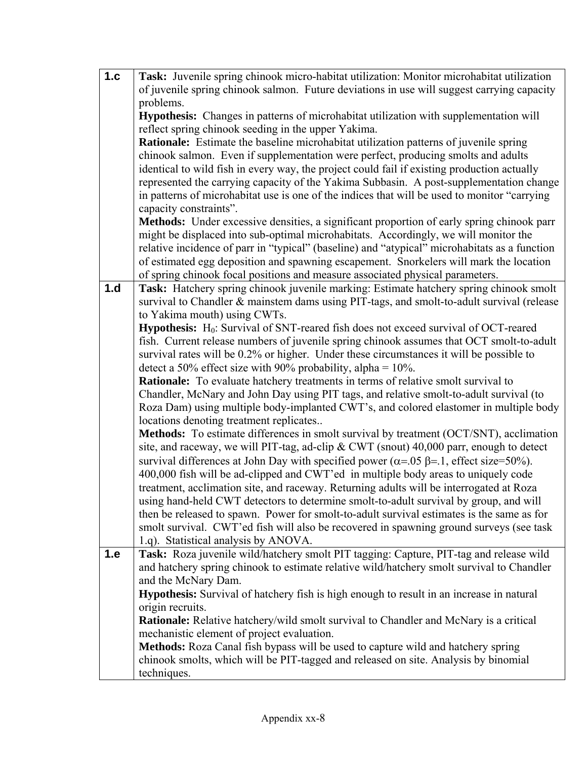| 1.c | Task: Juvenile spring chinook micro-habitat utilization: Monitor microhabitat utilization                                        |
|-----|----------------------------------------------------------------------------------------------------------------------------------|
|     | of juvenile spring chinook salmon. Future deviations in use will suggest carrying capacity                                       |
|     | problems.                                                                                                                        |
|     | Hypothesis: Changes in patterns of microhabitat utilization with supplementation will                                            |
|     | reflect spring chinook seeding in the upper Yakima.                                                                              |
|     | <b>Rationale:</b> Estimate the baseline microhabitat utilization patterns of juvenile spring                                     |
|     | chinook salmon. Even if supplementation were perfect, producing smolts and adults                                                |
|     | identical to wild fish in every way, the project could fail if existing production actually                                      |
|     | represented the carrying capacity of the Yakima Subbasin. A post-supplementation change                                          |
|     | in patterns of microhabitat use is one of the indices that will be used to monitor "carrying                                     |
|     | capacity constraints".                                                                                                           |
|     | Methods: Under excessive densities, a significant proportion of early spring chinook parr                                        |
|     | might be displaced into sub-optimal microhabitats. Accordingly, we will monitor the                                              |
|     | relative incidence of parr in "typical" (baseline) and "atypical" microhabitats as a function                                    |
|     | of estimated egg deposition and spawning escapement. Snorkelers will mark the location                                           |
|     | of spring chinook focal positions and measure associated physical parameters.                                                    |
| 1.d | Task: Hatchery spring chinook juvenile marking: Estimate hatchery spring chinook smolt                                           |
|     | survival to Chandler & mainstem dams using PIT-tags, and smolt-to-adult survival (release                                        |
|     | to Yakima mouth) using CWTs.                                                                                                     |
|     | Hypothesis: H <sub>0</sub> : Survival of SNT-reared fish does not exceed survival of OCT-reared                                  |
|     | fish. Current release numbers of juvenile spring chinook assumes that OCT smolt-to-adult                                         |
|     | survival rates will be 0.2% or higher. Under these circumstances it will be possible to                                          |
|     | detect a 50% effect size with 90% probability, alpha = $10\%$ .                                                                  |
|     | <b>Rationale:</b> To evaluate hatchery treatments in terms of relative smolt survival to                                         |
|     | Chandler, McNary and John Day using PIT tags, and relative smolt-to-adult survival (to                                           |
|     | Roza Dam) using multiple body-implanted CWT's, and colored elastomer in multiple body<br>locations denoting treatment replicates |
|     | Methods: To estimate differences in smolt survival by treatment (OCT/SNT), acclimation                                           |
|     | site, and raceway, we will PIT-tag, ad-clip & CWT (snout) 40,000 parr, enough to detect                                          |
|     | survival differences at John Day with specified power ( $\alpha$ =.05 $\beta$ =.1, effect size=50%).                             |
|     | 400,000 fish will be ad-clipped and CWT'ed in multiple body areas to uniquely code                                               |
|     | treatment, acclimation site, and raceway. Returning adults will be interrogated at Roza                                          |
|     | using hand-held CWT detectors to determine smolt-to-adult survival by group, and will                                            |
|     | then be released to spawn. Power for smolt-to-adult survival estimates is the same as for                                        |
|     | smolt survival. CWT'ed fish will also be recovered in spawning ground surveys (see task                                          |
|     | 1.q). Statistical analysis by ANOVA.                                                                                             |
| 1.e | Task: Roza juvenile wild/hatchery smolt PIT tagging: Capture, PIT-tag and release wild                                           |
|     | and hatchery spring chinook to estimate relative wild/hatchery smolt survival to Chandler                                        |
|     | and the McNary Dam.                                                                                                              |
|     | <b>Hypothesis:</b> Survival of hatchery fish is high enough to result in an increase in natural                                  |
|     | origin recruits.                                                                                                                 |
|     | <b>Rationale:</b> Relative hatchery/wild smolt survival to Chandler and McNary is a critical                                     |
|     | mechanistic element of project evaluation.                                                                                       |
|     | <b>Methods:</b> Roza Canal fish bypass will be used to capture wild and hatchery spring                                          |
|     | chinook smolts, which will be PIT-tagged and released on site. Analysis by binomial                                              |
|     | techniques.                                                                                                                      |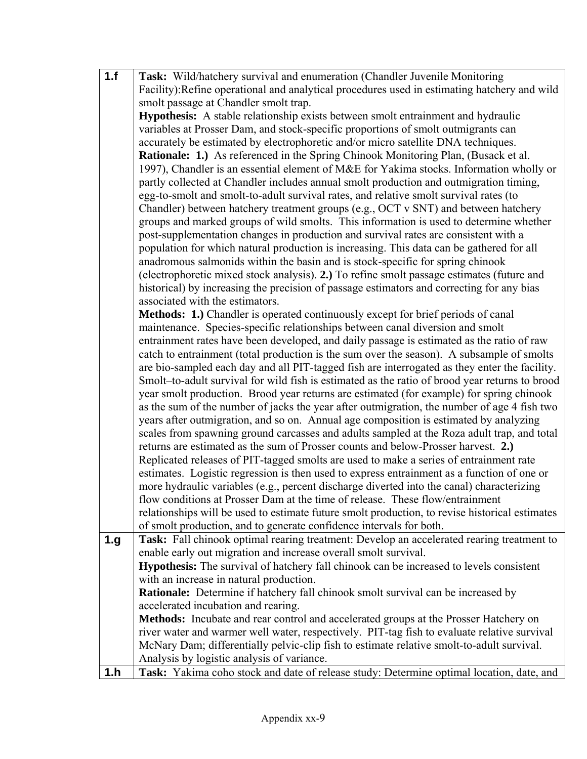| 1.f  | Task: Wild/hatchery survival and enumeration (Chandler Juvenile Monitoring                     |
|------|------------------------------------------------------------------------------------------------|
|      | Facility): Refine operational and analytical procedures used in estimating hatchery and wild   |
|      | smolt passage at Chandler smolt trap.                                                          |
|      | <b>Hypothesis:</b> A stable relationship exists between smolt entrainment and hydraulic        |
|      | variables at Prosser Dam, and stock-specific proportions of smolt outmigrants can              |
|      | accurately be estimated by electrophoretic and/or micro satellite DNA techniques.              |
|      | <b>Rationale: 1.</b> ) As referenced in the Spring Chinook Monitoring Plan, (Busack et al.     |
|      | 1997), Chandler is an essential element of M&E for Yakima stocks. Information wholly or        |
|      | partly collected at Chandler includes annual smolt production and outmigration timing,         |
|      | egg-to-smolt and smolt-to-adult survival rates, and relative smolt survival rates (to          |
|      | Chandler) between hatchery treatment groups (e.g., OCT v SNT) and between hatchery             |
|      | groups and marked groups of wild smolts. This information is used to determine whether         |
|      | post-supplementation changes in production and survival rates are consistent with a            |
|      | population for which natural production is increasing. This data can be gathered for all       |
|      | anadromous salmonids within the basin and is stock-specific for spring chinook                 |
|      | (electrophoretic mixed stock analysis). 2.) To refine smolt passage estimates (future and      |
|      | historical) by increasing the precision of passage estimators and correcting for any bias      |
|      | associated with the estimators.                                                                |
|      | Methods: 1.) Chandler is operated continuously except for brief periods of canal               |
|      | maintenance. Species-specific relationships between canal diversion and smolt                  |
|      | entrainment rates have been developed, and daily passage is estimated as the ratio of raw      |
|      | catch to entrainment (total production is the sum over the season). A subsample of smolts      |
|      | are bio-sampled each day and all PIT-tagged fish are interrogated as they enter the facility.  |
|      | Smolt-to-adult survival for wild fish is estimated as the ratio of brood year returns to brood |
|      | year smolt production. Brood year returns are estimated (for example) for spring chinook       |
|      | as the sum of the number of jacks the year after outmigration, the number of age 4 fish two    |
|      | years after outmigration, and so on. Annual age composition is estimated by analyzing          |
|      | scales from spawning ground carcasses and adults sampled at the Roza adult trap, and total     |
|      | returns are estimated as the sum of Prosser counts and below-Prosser harvest. 2.)              |
|      | Replicated releases of PIT-tagged smolts are used to make a series of entrainment rate         |
|      | estimates. Logistic regression is then used to express entrainment as a function of one or     |
|      | more hydraulic variables (e.g., percent discharge diverted into the canal) characterizing      |
|      | flow conditions at Prosser Dam at the time of release. These flow/entrainment                  |
|      | relationships will be used to estimate future smolt production, to revise historical estimates |
|      | of smolt production, and to generate confidence intervals for both.                            |
| 1.g. | Task: Fall chinook optimal rearing treatment: Develop an accelerated rearing treatment to      |
|      | enable early out migration and increase overall smolt survival.                                |
|      | Hypothesis: The survival of hatchery fall chinook can be increased to levels consistent        |
|      | with an increase in natural production.                                                        |
|      | <b>Rationale:</b> Determine if hatchery fall chinook smolt survival can be increased by        |
|      | accelerated incubation and rearing.                                                            |
|      | Methods: Incubate and rear control and accelerated groups at the Prosser Hatchery on           |
|      | river water and warmer well water, respectively. PIT-tag fish to evaluate relative survival    |
|      | McNary Dam; differentially pelvic-clip fish to estimate relative smolt-to-adult survival.      |
|      | Analysis by logistic analysis of variance.                                                     |
| 1.h  | Task: Yakima coho stock and date of release study: Determine optimal location, date, and       |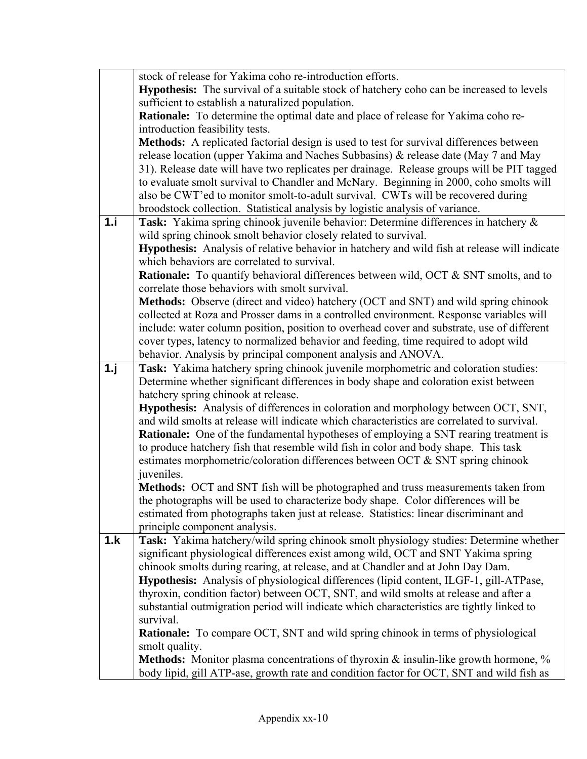|     | stock of release for Yakima coho re-introduction efforts.                                                              |
|-----|------------------------------------------------------------------------------------------------------------------------|
|     | Hypothesis: The survival of a suitable stock of hatchery coho can be increased to levels                               |
|     | sufficient to establish a naturalized population.                                                                      |
|     | Rationale: To determine the optimal date and place of release for Yakima coho re-                                      |
|     | introduction feasibility tests.                                                                                        |
|     | Methods: A replicated factorial design is used to test for survival differences between                                |
|     | release location (upper Yakima and Naches Subbasins) & release date (May 7 and May                                     |
|     | 31). Release date will have two replicates per drainage. Release groups will be PIT tagged                             |
|     | to evaluate smolt survival to Chandler and McNary. Beginning in 2000, coho smolts will                                 |
|     | also be CWT'ed to monitor smolt-to-adult survival. CWTs will be recovered during                                       |
|     | broodstock collection. Statistical analysis by logistic analysis of variance.                                          |
| 1.i | Task: Yakima spring chinook juvenile behavior: Determine differences in hatchery &                                     |
|     | wild spring chinook smolt behavior closely related to survival.                                                        |
|     | Hypothesis: Analysis of relative behavior in hatchery and wild fish at release will indicate                           |
|     | which behaviors are correlated to survival.                                                                            |
|     | <b>Rationale:</b> To quantify behavioral differences between wild, OCT & SNT smolts, and to                            |
|     | correlate those behaviors with smolt survival.                                                                         |
|     | Methods: Observe (direct and video) hatchery (OCT and SNT) and wild spring chinook                                     |
|     | collected at Roza and Prosser dams in a controlled environment. Response variables will                                |
|     | include: water column position, position to overhead cover and substrate, use of different                             |
|     | cover types, latency to normalized behavior and feeding, time required to adopt wild                                   |
|     | behavior. Analysis by principal component analysis and ANOVA.                                                          |
| 1.1 | Task: Yakima hatchery spring chinook juvenile morphometric and coloration studies:                                     |
|     | Determine whether significant differences in body shape and coloration exist between                                   |
|     | hatchery spring chinook at release.                                                                                    |
|     | Hypothesis: Analysis of differences in coloration and morphology between OCT, SNT,                                     |
|     | and wild smolts at release will indicate which characteristics are correlated to survival.                             |
|     | <b>Rationale:</b> One of the fundamental hypotheses of employing a SNT rearing treatment is                            |
|     | to produce hatchery fish that resemble wild fish in color and body shape. This task                                    |
|     | estimates morphometric/coloration differences between OCT & SNT spring chinook                                         |
|     | juveniles.                                                                                                             |
|     | Methods: OCT and SNT fish will be photographed and truss measurements taken from                                       |
|     | the photographs will be used to characterize body shape. Color differences will be                                     |
|     | estimated from photographs taken just at release. Statistics: linear discriminant and                                  |
| 1.k | principle component analysis.<br>Task: Yakima hatchery/wild spring chinook smolt physiology studies: Determine whether |
|     | significant physiological differences exist among wild, OCT and SNT Yakima spring                                      |
|     | chinook smolts during rearing, at release, and at Chandler and at John Day Dam.                                        |
|     | <b>Hypothesis:</b> Analysis of physiological differences (lipid content, ILGF-1, gill-ATPase,                          |
|     | thyroxin, condition factor) between OCT, SNT, and wild smolts at release and after a                                   |
|     | substantial outmigration period will indicate which characteristics are tightly linked to                              |
|     | survival.                                                                                                              |
|     | <b>Rationale:</b> To compare OCT, SNT and wild spring chinook in terms of physiological                                |
|     | smolt quality.                                                                                                         |
|     | Methods: Monitor plasma concentrations of thyroxin & insulin-like growth hormone, %                                    |
|     | body lipid, gill ATP-ase, growth rate and condition factor for OCT, SNT and wild fish as                               |
|     |                                                                                                                        |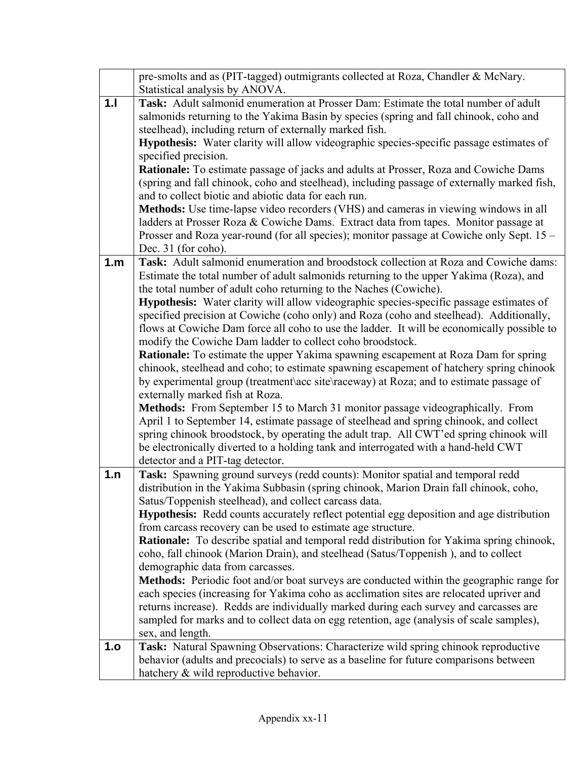|     | pre-smolts and as (PIT-tagged) outmigrants collected at Roza, Chandler & McNary.<br>Statistical analysis by ANOVA.                                                                                                                                                                                                                                                                                                                                                                                                                                                                                                                                                                                                                                                                                                                                                                                                                                                                                                                                                                                                                                                                                                                                                                                                              |
|-----|---------------------------------------------------------------------------------------------------------------------------------------------------------------------------------------------------------------------------------------------------------------------------------------------------------------------------------------------------------------------------------------------------------------------------------------------------------------------------------------------------------------------------------------------------------------------------------------------------------------------------------------------------------------------------------------------------------------------------------------------------------------------------------------------------------------------------------------------------------------------------------------------------------------------------------------------------------------------------------------------------------------------------------------------------------------------------------------------------------------------------------------------------------------------------------------------------------------------------------------------------------------------------------------------------------------------------------|
| 1.1 | Task: Adult salmonid enumeration at Prosser Dam: Estimate the total number of adult<br>salmonids returning to the Yakima Basin by species (spring and fall chinook, coho and<br>steelhead), including return of externally marked fish.<br>Hypothesis: Water clarity will allow videographic species-specific passage estimates of<br>specified precision.<br>Rationale: To estimate passage of jacks and adults at Prosser, Roza and Cowiche Dams<br>(spring and fall chinook, coho and steelhead), including passage of externally marked fish,<br>and to collect biotic and abiotic data for each run.<br>Methods: Use time-lapse video recorders (VHS) and cameras in viewing windows in all<br>ladders at Prosser Roza & Cowiche Dams. Extract data from tapes. Monitor passage at<br>Prosser and Roza year-round (for all species); monitor passage at Cowiche only Sept. 15 -<br>Dec. 31 (for coho).                                                                                                                                                                                                                                                                                                                                                                                                                     |
| 1.m | Task: Adult salmonid enumeration and broodstock collection at Roza and Cowiche dams:<br>Estimate the total number of adult salmonids returning to the upper Yakima (Roza), and<br>the total number of adult coho returning to the Naches (Cowiche).<br><b>Hypothesis:</b> Water clarity will allow videographic species-specific passage estimates of<br>specified precision at Cowiche (coho only) and Roza (coho and steelhead). Additionally,<br>flows at Cowiche Dam force all coho to use the ladder. It will be economically possible to<br>modify the Cowiche Dam ladder to collect coho broodstock.<br><b>Rationale:</b> To estimate the upper Yakima spawning escapement at Roza Dam for spring<br>chinook, steelhead and coho; to estimate spawning escapement of hatchery spring chinook<br>by experimental group (treatment\acc site\raceway) at Roza; and to estimate passage of<br>externally marked fish at Roza.<br>Methods: From September 15 to March 31 monitor passage videographically. From<br>April 1 to September 14, estimate passage of steelhead and spring chinook, and collect<br>spring chinook broodstock, by operating the adult trap. All CWT'ed spring chinook will<br>be electronically diverted to a holding tank and interrogated with a hand-held CWT<br>detector and a PIT-tag detector. |
| 1.n | Task: Spawning ground surveys (redd counts): Monitor spatial and temporal redd<br>distribution in the Yakima Subbasin (spring chinook, Marion Drain fall chinook, coho,<br>Satus/Toppenish steelhead), and collect carcass data.<br><b>Hypothesis:</b> Redd counts accurately reflect potential egg deposition and age distribution<br>from carcass recovery can be used to estimate age structure.<br>Rationale: To describe spatial and temporal redd distribution for Yakima spring chinook,<br>coho, fall chinook (Marion Drain), and steelhead (Satus/Toppenish), and to collect<br>demographic data from carcasses.<br><b>Methods:</b> Periodic foot and/or boat surveys are conducted within the geographic range for<br>each species (increasing for Yakima coho as acclimation sites are relocated upriver and<br>returns increase). Redds are individually marked during each survey and carcasses are<br>sampled for marks and to collect data on egg retention, age (analysis of scale samples),<br>sex, and length.                                                                                                                                                                                                                                                                                                |
| 1.o | Task: Natural Spawning Observations: Characterize wild spring chinook reproductive<br>behavior (adults and precocials) to serve as a baseline for future comparisons between<br>hatchery & wild reproductive behavior.                                                                                                                                                                                                                                                                                                                                                                                                                                                                                                                                                                                                                                                                                                                                                                                                                                                                                                                                                                                                                                                                                                          |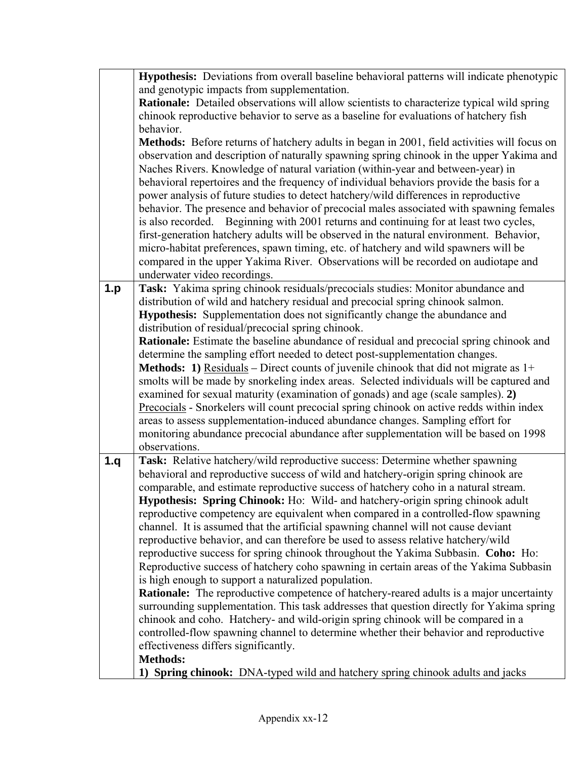|     | Hypothesis: Deviations from overall baseline behavioral patterns will indicate phenotypic            |
|-----|------------------------------------------------------------------------------------------------------|
|     | and genotypic impacts from supplementation.                                                          |
|     | Rationale: Detailed observations will allow scientists to characterize typical wild spring           |
|     | chinook reproductive behavior to serve as a baseline for evaluations of hatchery fish                |
|     | behavior.                                                                                            |
|     | Methods: Before returns of hatchery adults in began in 2001, field activities will focus on          |
|     | observation and description of naturally spawning spring chinook in the upper Yakima and             |
|     | Naches Rivers. Knowledge of natural variation (within-year and between-year) in                      |
|     | behavioral repertoires and the frequency of individual behaviors provide the basis for a             |
|     | power analysis of future studies to detect hatchery/wild differences in reproductive                 |
|     | behavior. The presence and behavior of precocial males associated with spawning females              |
|     | is also recorded. Beginning with 2001 returns and continuing for at least two cycles,                |
|     | first-generation hatchery adults will be observed in the natural environment. Behavior,              |
|     | micro-habitat preferences, spawn timing, etc. of hatchery and wild spawners will be                  |
|     | compared in the upper Yakima River. Observations will be recorded on audiotape and                   |
|     | underwater video recordings.                                                                         |
| 1.p | Task: Yakima spring chinook residuals/precocials studies: Monitor abundance and                      |
|     | distribution of wild and hatchery residual and precocial spring chinook salmon.                      |
|     | Hypothesis: Supplementation does not significantly change the abundance and                          |
|     | distribution of residual/precocial spring chinook.                                                   |
|     | Rationale: Estimate the baseline abundance of residual and precocial spring chinook and              |
|     | determine the sampling effort needed to detect post-supplementation changes.                         |
|     | <b>Methods:</b> 1) <u>Residuals</u> – Direct counts of juvenile chinook that did not migrate as $1+$ |
|     | smolts will be made by snorkeling index areas. Selected individuals will be captured and             |
|     | examined for sexual maturity (examination of gonads) and age (scale samples). 2)                     |
|     | Precocials - Snorkelers will count precocial spring chinook on active redds within index             |
|     | areas to assess supplementation-induced abundance changes. Sampling effort for                       |
|     | monitoring abundance precocial abundance after supplementation will be based on 1998                 |
|     | observations.                                                                                        |
| 1.q | Task: Relative hatchery/wild reproductive success: Determine whether spawning                        |
|     | behavioral and reproductive success of wild and hatchery-origin spring chinook are                   |
|     | comparable, and estimate reproductive success of hatchery coho in a natural stream.                  |
|     | <b>Hypothesis: Spring Chinook:</b> Ho: Wild- and hatchery-origin spring chinook adult                |
|     | reproductive competency are equivalent when compared in a controlled-flow spawning                   |
|     | channel. It is assumed that the artificial spawning channel will not cause deviant                   |
|     | reproductive behavior, and can therefore be used to assess relative hatchery/wild                    |
|     | reproductive success for spring chinook throughout the Yakima Subbasin. Coho: Ho:                    |
|     | Reproductive success of hatchery coho spawning in certain areas of the Yakima Subbasin               |
|     | is high enough to support a naturalized population.                                                  |
|     | <b>Rationale:</b> The reproductive competence of hatchery-reared adults is a major uncertainty       |
|     | surrounding supplementation. This task addresses that question directly for Yakima spring            |
|     | chinook and coho. Hatchery- and wild-origin spring chinook will be compared in a                     |
|     | controlled-flow spawning channel to determine whether their behavior and reproductive                |
|     | effectiveness differs significantly.                                                                 |
|     | <b>Methods:</b>                                                                                      |
|     | 1) Spring chinook: DNA-typed wild and hatchery spring chinook adults and jacks                       |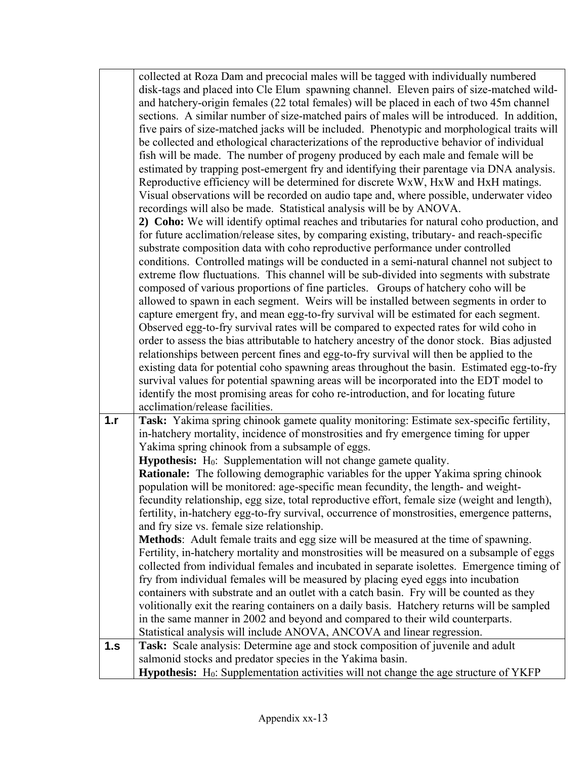|     | collected at Roza Dam and precocial males will be tagged with individually numbered                                                                                                 |
|-----|-------------------------------------------------------------------------------------------------------------------------------------------------------------------------------------|
|     | disk-tags and placed into Cle Elum spawning channel. Eleven pairs of size-matched wild-                                                                                             |
|     | and hatchery-origin females (22 total females) will be placed in each of two 45m channel                                                                                            |
|     | sections. A similar number of size-matched pairs of males will be introduced. In addition,                                                                                          |
|     | five pairs of size-matched jacks will be included. Phenotypic and morphological traits will                                                                                         |
|     | be collected and ethological characterizations of the reproductive behavior of individual                                                                                           |
|     | fish will be made. The number of progeny produced by each male and female will be                                                                                                   |
|     | estimated by trapping post-emergent fry and identifying their parentage via DNA analysis.                                                                                           |
|     | Reproductive efficiency will be determined for discrete WxW, HxW and HxH matings.                                                                                                   |
|     | Visual observations will be recorded on audio tape and, where possible, underwater video                                                                                            |
|     | recordings will also be made. Statistical analysis will be by ANOVA.                                                                                                                |
|     | 2) Coho: We will identify optimal reaches and tributaries for natural coho production, and                                                                                          |
|     | for future acclimation/release sites, by comparing existing, tributary- and reach-specific                                                                                          |
|     | substrate composition data with coho reproductive performance under controlled                                                                                                      |
|     | conditions. Controlled matings will be conducted in a semi-natural channel not subject to                                                                                           |
|     | extreme flow fluctuations. This channel will be sub-divided into segments with substrate                                                                                            |
|     | composed of various proportions of fine particles. Groups of hatchery coho will be                                                                                                  |
|     | allowed to spawn in each segment. Weirs will be installed between segments in order to                                                                                              |
|     | capture emergent fry, and mean egg-to-fry survival will be estimated for each segment.                                                                                              |
|     | Observed egg-to-fry survival rates will be compared to expected rates for wild coho in                                                                                              |
|     | order to assess the bias attributable to hatchery ancestry of the donor stock. Bias adjusted                                                                                        |
|     | relationships between percent fines and egg-to-fry survival will then be applied to the                                                                                             |
|     | existing data for potential coho spawning areas throughout the basin. Estimated egg-to-fry                                                                                          |
|     | survival values for potential spawning areas will be incorporated into the EDT model to                                                                                             |
|     | identify the most promising areas for coho re-introduction, and for locating future                                                                                                 |
|     | acclimation/release facilities.                                                                                                                                                     |
| 1.r | Task: Yakima spring chinook gamete quality monitoring: Estimate sex-specific fertility,                                                                                             |
|     | in-hatchery mortality, incidence of monstrosities and fry emergence timing for upper                                                                                                |
|     | Yakima spring chinook from a subsample of eggs.                                                                                                                                     |
|     | <b>Hypothesis:</b> $H_0$ : Supplementation will not change gamete quality.                                                                                                          |
|     | <b>Rationale:</b> The following demographic variables for the upper Yakima spring chinook                                                                                           |
|     | population will be monitored: age-specific mean fecundity, the length- and weight-<br>fecundity relationship, egg size, total reproductive effort, female size (weight and length), |
|     | fertility, in-hatchery egg-to-fry survival, occurrence of monstrosities, emergence patterns,                                                                                        |
|     | and fry size vs. female size relationship.                                                                                                                                          |
|     | Methods: Adult female traits and egg size will be measured at the time of spawning.                                                                                                 |
|     | Fertility, in-hatchery mortality and monstrosities will be measured on a subsample of eggs                                                                                          |
|     | collected from individual females and incubated in separate isolettes. Emergence timing of                                                                                          |
|     | fry from individual females will be measured by placing eyed eggs into incubation                                                                                                   |
|     | containers with substrate and an outlet with a catch basin. Fry will be counted as they                                                                                             |
|     | volitionally exit the rearing containers on a daily basis. Hatchery returns will be sampled                                                                                         |
|     | in the same manner in 2002 and beyond and compared to their wild counterparts.                                                                                                      |
|     | Statistical analysis will include ANOVA, ANCOVA and linear regression.                                                                                                              |
| 1.S | Task: Scale analysis: Determine age and stock composition of juvenile and adult                                                                                                     |
|     | salmonid stocks and predator species in the Yakima basin.                                                                                                                           |
|     | Hypothesis: H <sub>0</sub> : Supplementation activities will not change the age structure of YKFP                                                                                   |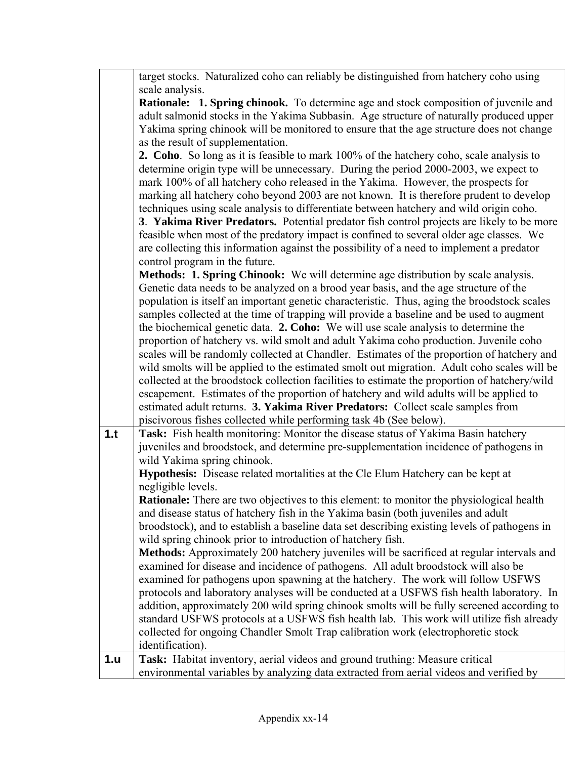|     | target stocks. Naturalized coho can reliably be distinguished from hatchery coho using          |
|-----|-------------------------------------------------------------------------------------------------|
|     | scale analysis.                                                                                 |
|     | Rationale: 1. Spring chinook. To determine age and stock composition of juvenile and            |
|     | adult salmonid stocks in the Yakima Subbasin. Age structure of naturally produced upper         |
|     | Yakima spring chinook will be monitored to ensure that the age structure does not change        |
|     | as the result of supplementation.                                                               |
|     | 2. Coho. So long as it is feasible to mark 100% of the hatchery coho, scale analysis to         |
|     | determine origin type will be unnecessary. During the period 2000-2003, we expect to            |
|     | mark 100% of all hatchery coho released in the Yakima. However, the prospects for               |
|     | marking all hatchery coho beyond 2003 are not known. It is therefore prudent to develop         |
|     | techniques using scale analysis to differentiate between hatchery and wild origin coho.         |
|     | 3. Yakima River Predators. Potential predator fish control projects are likely to be more       |
|     | feasible when most of the predatory impact is confined to several older age classes. We         |
|     | are collecting this information against the possibility of a need to implement a predator       |
|     |                                                                                                 |
|     | control program in the future.                                                                  |
|     | <b>Methods: 1. Spring Chinook:</b> We will determine age distribution by scale analysis.        |
|     | Genetic data needs to be analyzed on a brood year basis, and the age structure of the           |
|     | population is itself an important genetic characteristic. Thus, aging the broodstock scales     |
|     | samples collected at the time of trapping will provide a baseline and be used to augment        |
|     | the biochemical genetic data. 2. Coho: We will use scale analysis to determine the              |
|     | proportion of hatchery vs. wild smolt and adult Yakima coho production. Juvenile coho           |
|     | scales will be randomly collected at Chandler. Estimates of the proportion of hatchery and      |
|     | wild smolts will be applied to the estimated smolt out migration. Adult coho scales will be     |
|     | collected at the broodstock collection facilities to estimate the proportion of hatchery/wild   |
|     | escapement. Estimates of the proportion of hatchery and wild adults will be applied to          |
|     | estimated adult returns. 3. Yakima River Predators: Collect scale samples from                  |
|     | piscivorous fishes collected while performing task 4b (See below).                              |
| 1.t | Task: Fish health monitoring: Monitor the disease status of Yakima Basin hatchery               |
|     | juveniles and broodstock, and determine pre-supplementation incidence of pathogens in           |
|     | wild Yakima spring chinook.                                                                     |
|     | <b>Hypothesis:</b> Disease related mortalities at the Cle Elum Hatchery can be kept at          |
|     | negligible levels.                                                                              |
|     | <b>Rationale:</b> There are two objectives to this element: to monitor the physiological health |
|     | and disease status of hatchery fish in the Yakima basin (both juveniles and adult               |
|     | broodstock), and to establish a baseline data set describing existing levels of pathogens in    |
|     | wild spring chinook prior to introduction of hatchery fish.                                     |
|     | Methods: Approximately 200 hatchery juveniles will be sacrificed at regular intervals and       |
|     | examined for disease and incidence of pathogens. All adult broodstock will also be              |
|     | examined for pathogens upon spawning at the hatchery. The work will follow USFWS                |
|     | protocols and laboratory analyses will be conducted at a USFWS fish health laboratory. In       |
|     | addition, approximately 200 wild spring chinook smolts will be fully screened according to      |
|     | standard USFWS protocols at a USFWS fish health lab. This work will utilize fish already        |
|     | collected for ongoing Chandler Smolt Trap calibration work (electrophoretic stock               |
|     | identification).                                                                                |
| 1.u | Task: Habitat inventory, aerial videos and ground truthing: Measure critical                    |
|     | environmental variables by analyzing data extracted from aerial videos and verified by          |
|     |                                                                                                 |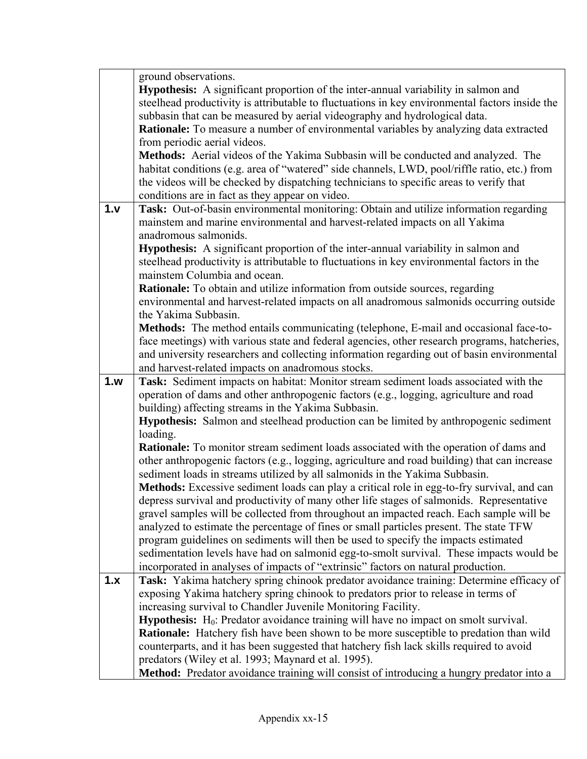|      | ground observations.                                                                                                                            |
|------|-------------------------------------------------------------------------------------------------------------------------------------------------|
|      | <b>Hypothesis:</b> A significant proportion of the inter-annual variability in salmon and                                                       |
|      | steelhead productivity is attributable to fluctuations in key environmental factors inside the                                                  |
|      | subbasin that can be measured by aerial videography and hydrological data.                                                                      |
|      | Rationale: To measure a number of environmental variables by analyzing data extracted                                                           |
|      | from periodic aerial videos.                                                                                                                    |
|      | Methods: Aerial videos of the Yakima Subbasin will be conducted and analyzed. The                                                               |
|      | habitat conditions (e.g. area of "watered" side channels, LWD, pool/riffle ratio, etc.) from                                                    |
|      | the videos will be checked by dispatching technicians to specific areas to verify that                                                          |
|      | conditions are in fact as they appear on video.                                                                                                 |
| 1. v | Task: Out-of-basin environmental monitoring: Obtain and utilize information regarding                                                           |
|      | mainstem and marine environmental and harvest-related impacts on all Yakima                                                                     |
|      | anadromous salmonids.                                                                                                                           |
|      | <b>Hypothesis:</b> A significant proportion of the inter-annual variability in salmon and                                                       |
|      | steelhead productivity is attributable to fluctuations in key environmental factors in the                                                      |
|      | mainstem Columbia and ocean.                                                                                                                    |
|      | <b>Rationale:</b> To obtain and utilize information from outside sources, regarding                                                             |
|      | environmental and harvest-related impacts on all anadromous salmonids occurring outside                                                         |
|      | the Yakima Subbasin.                                                                                                                            |
|      | Methods: The method entails communicating (telephone, E-mail and occasional face-to-                                                            |
|      | face meetings) with various state and federal agencies, other research programs, hatcheries,                                                    |
|      | and university researchers and collecting information regarding out of basin environmental                                                      |
|      | and harvest-related impacts on anadromous stocks.                                                                                               |
|      |                                                                                                                                                 |
| 1.w  | Task: Sediment impacts on habitat: Monitor stream sediment loads associated with the                                                            |
|      |                                                                                                                                                 |
|      | operation of dams and other anthropogenic factors (e.g., logging, agriculture and road<br>building) affecting streams in the Yakima Subbasin.   |
|      | Hypothesis: Salmon and steelhead production can be limited by anthropogenic sediment                                                            |
|      | loading.                                                                                                                                        |
|      | Rationale: To monitor stream sediment loads associated with the operation of dams and                                                           |
|      | other anthropogenic factors (e.g., logging, agriculture and road building) that can increase                                                    |
|      | sediment loads in streams utilized by all salmonids in the Yakima Subbasin.                                                                     |
|      | Methods: Excessive sediment loads can play a critical role in egg-to-fry survival, and can                                                      |
|      | depress survival and productivity of many other life stages of salmonids. Representative                                                        |
|      | gravel samples will be collected from throughout an impacted reach. Each sample will be                                                         |
|      | analyzed to estimate the percentage of fines or small particles present. The state TFW                                                          |
|      | program guidelines on sediments will then be used to specify the impacts estimated                                                              |
|      | sedimentation levels have had on salmonid egg-to-smolt survival. These impacts would be                                                         |
|      | incorporated in analyses of impacts of "extrinsic" factors on natural production.                                                               |
| 1.x  | Task: Yakima hatchery spring chinook predator avoidance training: Determine efficacy of                                                         |
|      | exposing Yakima hatchery spring chinook to predators prior to release in terms of                                                               |
|      | increasing survival to Chandler Juvenile Monitoring Facility.                                                                                   |
|      | <b>Hypothesis:</b> $H_0$ : Predator avoidance training will have no impact on smolt survival.                                                   |
|      | Rationale: Hatchery fish have been shown to be more susceptible to predation than wild                                                          |
|      | counterparts, and it has been suggested that hatchery fish lack skills required to avoid                                                        |
|      | predators (Wiley et al. 1993; Maynard et al. 1995).<br>Method: Predator avoidance training will consist of introducing a hungry predator into a |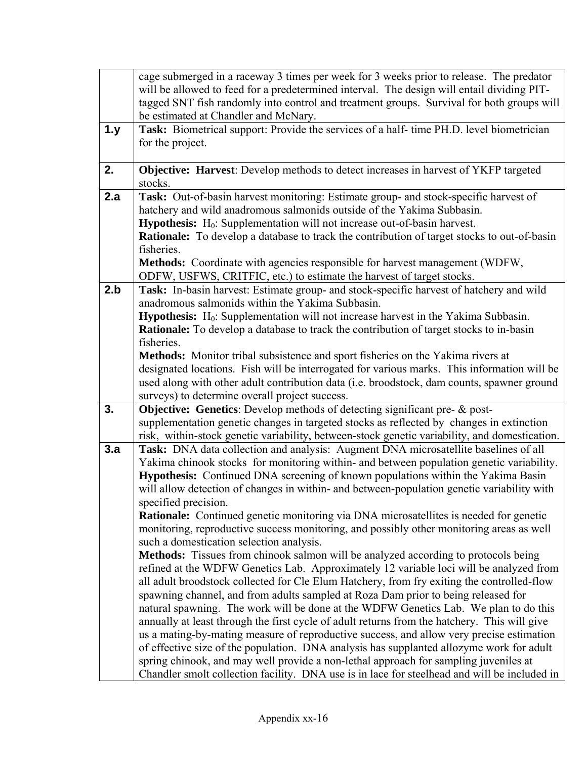|     | cage submerged in a raceway 3 times per week for 3 weeks prior to release. The predator<br>will be allowed to feed for a predetermined interval. The design will entail dividing PIT-<br>tagged SNT fish randomly into control and treatment groups. Survival for both groups will<br>be estimated at Chandler and McNary.                                                                                                                                                                                                                                                                                                                                                                                                                                                                                                                                                                                                                                                                                                                                                                                                                                                                                                                                                                                                                                                                                                                                                                                                                                                          |
|-----|-------------------------------------------------------------------------------------------------------------------------------------------------------------------------------------------------------------------------------------------------------------------------------------------------------------------------------------------------------------------------------------------------------------------------------------------------------------------------------------------------------------------------------------------------------------------------------------------------------------------------------------------------------------------------------------------------------------------------------------------------------------------------------------------------------------------------------------------------------------------------------------------------------------------------------------------------------------------------------------------------------------------------------------------------------------------------------------------------------------------------------------------------------------------------------------------------------------------------------------------------------------------------------------------------------------------------------------------------------------------------------------------------------------------------------------------------------------------------------------------------------------------------------------------------------------------------------------|
| 1.y | Task: Biometrical support: Provide the services of a half-time PH.D. level biometrician<br>for the project.                                                                                                                                                                                                                                                                                                                                                                                                                                                                                                                                                                                                                                                                                                                                                                                                                                                                                                                                                                                                                                                                                                                                                                                                                                                                                                                                                                                                                                                                         |
| 2.  | Objective: Harvest: Develop methods to detect increases in harvest of YKFP targeted<br>stocks.                                                                                                                                                                                                                                                                                                                                                                                                                                                                                                                                                                                                                                                                                                                                                                                                                                                                                                                                                                                                                                                                                                                                                                                                                                                                                                                                                                                                                                                                                      |
| 2.a | Task: Out-of-basin harvest monitoring: Estimate group- and stock-specific harvest of<br>hatchery and wild anadromous salmonids outside of the Yakima Subbasin.<br>Hypothesis: H <sub>0</sub> : Supplementation will not increase out-of-basin harvest.<br>Rationale: To develop a database to track the contribution of target stocks to out-of-basin<br>fisheries.<br>Methods: Coordinate with agencies responsible for harvest management (WDFW,                                                                                                                                                                                                                                                                                                                                                                                                                                                                                                                                                                                                                                                                                                                                                                                                                                                                                                                                                                                                                                                                                                                                  |
|     | ODFW, USFWS, CRITFIC, etc.) to estimate the harvest of target stocks.                                                                                                                                                                                                                                                                                                                                                                                                                                                                                                                                                                                                                                                                                                                                                                                                                                                                                                                                                                                                                                                                                                                                                                                                                                                                                                                                                                                                                                                                                                               |
| 2.b | Task: In-basin harvest: Estimate group- and stock-specific harvest of hatchery and wild<br>anadromous salmonids within the Yakima Subbasin.<br><b>Hypothesis:</b> H <sub>0</sub> : Supplementation will not increase harvest in the Yakima Subbasin.<br>Rationale: To develop a database to track the contribution of target stocks to in-basin<br>fisheries.<br>Methods: Monitor tribal subsistence and sport fisheries on the Yakima rivers at<br>designated locations. Fish will be interrogated for various marks. This information will be                                                                                                                                                                                                                                                                                                                                                                                                                                                                                                                                                                                                                                                                                                                                                                                                                                                                                                                                                                                                                                     |
|     | used along with other adult contribution data (i.e. broodstock, dam counts, spawner ground<br>surveys) to determine overall project success.                                                                                                                                                                                                                                                                                                                                                                                                                                                                                                                                                                                                                                                                                                                                                                                                                                                                                                                                                                                                                                                                                                                                                                                                                                                                                                                                                                                                                                        |
| 3.  | <b>Objective: Genetics:</b> Develop methods of detecting significant pre- & post-<br>supplementation genetic changes in targeted stocks as reflected by changes in extinction<br>risk, within-stock genetic variability, between-stock genetic variability, and domestication.                                                                                                                                                                                                                                                                                                                                                                                                                                                                                                                                                                                                                                                                                                                                                                                                                                                                                                                                                                                                                                                                                                                                                                                                                                                                                                      |
| 3.a | Task: DNA data collection and analysis: Augment DNA microsatellite baselines of all<br>Yakima chinook stocks for monitoring within- and between population genetic variability.<br>Hypothesis: Continued DNA screening of known populations within the Yakima Basin<br>will allow detection of changes in within- and between-population genetic variability with<br>specified precision.<br><b>Rationale:</b> Continued genetic monitoring via DNA microsatellites is needed for genetic<br>monitoring, reproductive success monitoring, and possibly other monitoring areas as well<br>such a domestication selection analysis.<br><b>Methods:</b> Tissues from chinook salmon will be analyzed according to protocols being<br>refined at the WDFW Genetics Lab. Approximately 12 variable loci will be analyzed from<br>all adult broodstock collected for Cle Elum Hatchery, from fry exiting the controlled-flow<br>spawning channel, and from adults sampled at Roza Dam prior to being released for<br>natural spawning. The work will be done at the WDFW Genetics Lab. We plan to do this<br>annually at least through the first cycle of adult returns from the hatchery. This will give<br>us a mating-by-mating measure of reproductive success, and allow very precise estimation<br>of effective size of the population. DNA analysis has supplanted allozyme work for adult<br>spring chinook, and may well provide a non-lethal approach for sampling juveniles at<br>Chandler smolt collection facility. DNA use is in lace for steelhead and will be included in |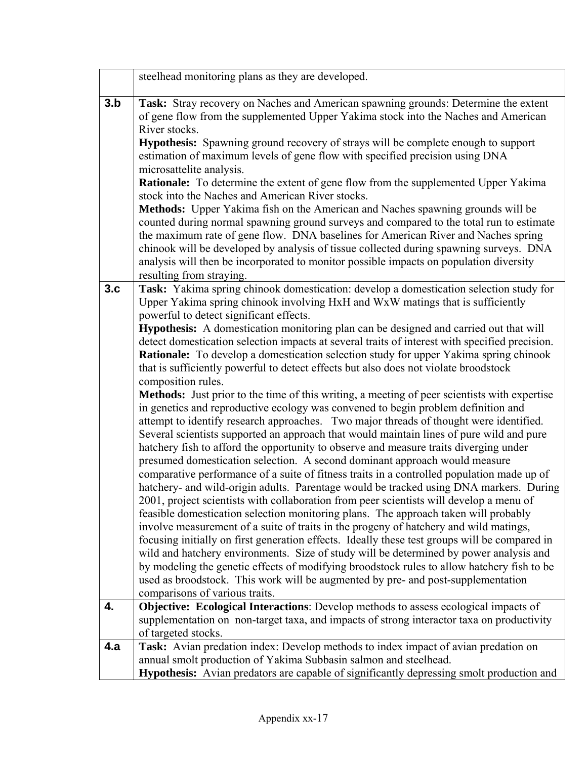|     | steelhead monitoring plans as they are developed.                                                                                                                                                                                                                                                                                                                                                                                                                                                                                                                                                                                                                                                                                                                                                                                                                                                                                                                                                                                                                                                                                                                                                                                                                                                                                                                                                                                                      |
|-----|--------------------------------------------------------------------------------------------------------------------------------------------------------------------------------------------------------------------------------------------------------------------------------------------------------------------------------------------------------------------------------------------------------------------------------------------------------------------------------------------------------------------------------------------------------------------------------------------------------------------------------------------------------------------------------------------------------------------------------------------------------------------------------------------------------------------------------------------------------------------------------------------------------------------------------------------------------------------------------------------------------------------------------------------------------------------------------------------------------------------------------------------------------------------------------------------------------------------------------------------------------------------------------------------------------------------------------------------------------------------------------------------------------------------------------------------------------|
| 3.b | Task: Stray recovery on Naches and American spawning grounds: Determine the extent<br>of gene flow from the supplemented Upper Yakima stock into the Naches and American<br>River stocks.                                                                                                                                                                                                                                                                                                                                                                                                                                                                                                                                                                                                                                                                                                                                                                                                                                                                                                                                                                                                                                                                                                                                                                                                                                                              |
|     | Hypothesis: Spawning ground recovery of strays will be complete enough to support<br>estimation of maximum levels of gene flow with specified precision using DNA                                                                                                                                                                                                                                                                                                                                                                                                                                                                                                                                                                                                                                                                                                                                                                                                                                                                                                                                                                                                                                                                                                                                                                                                                                                                                      |
|     | microsattelite analysis.<br>Rationale: To determine the extent of gene flow from the supplemented Upper Yakima<br>stock into the Naches and American River stocks.                                                                                                                                                                                                                                                                                                                                                                                                                                                                                                                                                                                                                                                                                                                                                                                                                                                                                                                                                                                                                                                                                                                                                                                                                                                                                     |
|     | Methods: Upper Yakima fish on the American and Naches spawning grounds will be<br>counted during normal spawning ground surveys and compared to the total run to estimate<br>the maximum rate of gene flow. DNA baselines for American River and Naches spring<br>chinook will be developed by analysis of tissue collected during spawning surveys. DNA<br>analysis will then be incorporated to monitor possible impacts on population diversity<br>resulting from straying.                                                                                                                                                                                                                                                                                                                                                                                                                                                                                                                                                                                                                                                                                                                                                                                                                                                                                                                                                                         |
| 3.c | Task: Yakima spring chinook domestication: develop a domestication selection study for<br>Upper Yakima spring chinook involving HxH and WxW matings that is sufficiently<br>powerful to detect significant effects.                                                                                                                                                                                                                                                                                                                                                                                                                                                                                                                                                                                                                                                                                                                                                                                                                                                                                                                                                                                                                                                                                                                                                                                                                                    |
|     | <b>Hypothesis:</b> A domestication monitoring plan can be designed and carried out that will<br>detect domestication selection impacts at several traits of interest with specified precision.<br>Rationale: To develop a domestication selection study for upper Yakima spring chinook<br>that is sufficiently powerful to detect effects but also does not violate broodstock                                                                                                                                                                                                                                                                                                                                                                                                                                                                                                                                                                                                                                                                                                                                                                                                                                                                                                                                                                                                                                                                        |
|     | composition rules.<br>Methods: Just prior to the time of this writing, a meeting of peer scientists with expertise<br>in genetics and reproductive ecology was convened to begin problem definition and<br>attempt to identify research approaches. Two major threads of thought were identified.<br>Several scientists supported an approach that would maintain lines of pure wild and pure<br>hatchery fish to afford the opportunity to observe and measure traits diverging under<br>presumed domestication selection. A second dominant approach would measure<br>comparative performance of a suite of fitness traits in a controlled population made up of<br>hatchery- and wild-origin adults. Parentage would be tracked using DNA markers. During<br>2001, project scientists with collaboration from peer scientists will develop a menu of<br>feasible domestication selection monitoring plans. The approach taken will probably<br>involve measurement of a suite of traits in the progeny of hatchery and wild matings,<br>focusing initially on first generation effects. Ideally these test groups will be compared in<br>wild and hatchery environments. Size of study will be determined by power analysis and<br>by modeling the genetic effects of modifying broodstock rules to allow hatchery fish to be<br>used as broodstock. This work will be augmented by pre- and post-supplementation<br>comparisons of various traits. |
| 4.  | Objective: Ecological Interactions: Develop methods to assess ecological impacts of<br>supplementation on non-target taxa, and impacts of strong interactor taxa on productivity                                                                                                                                                                                                                                                                                                                                                                                                                                                                                                                                                                                                                                                                                                                                                                                                                                                                                                                                                                                                                                                                                                                                                                                                                                                                       |
| 4.a | of targeted stocks.<br>Task: Avian predation index: Develop methods to index impact of avian predation on<br>annual smolt production of Yakima Subbasin salmon and steelhead.                                                                                                                                                                                                                                                                                                                                                                                                                                                                                                                                                                                                                                                                                                                                                                                                                                                                                                                                                                                                                                                                                                                                                                                                                                                                          |
|     | Hypothesis: Avian predators are capable of significantly depressing smolt production and                                                                                                                                                                                                                                                                                                                                                                                                                                                                                                                                                                                                                                                                                                                                                                                                                                                                                                                                                                                                                                                                                                                                                                                                                                                                                                                                                               |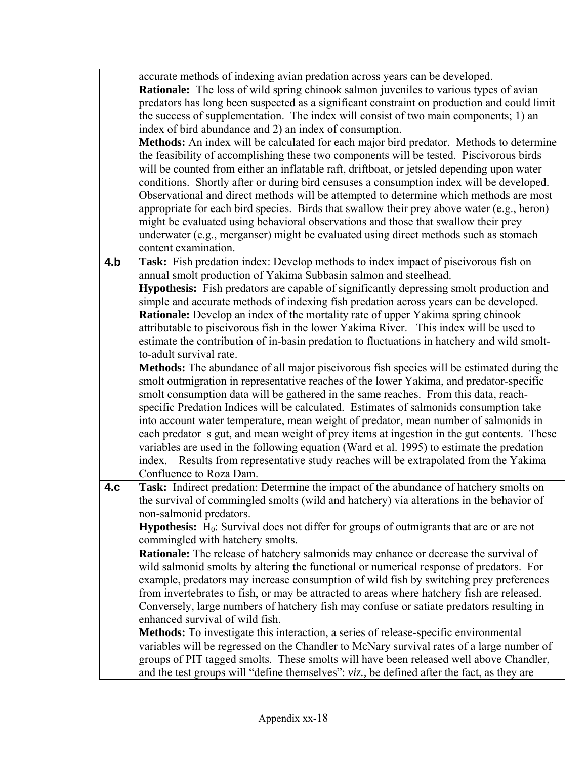|     | accurate methods of indexing avian predation across years can be developed.                       |  |  |  |  |  |
|-----|---------------------------------------------------------------------------------------------------|--|--|--|--|--|
|     | <b>Rationale:</b> The loss of wild spring chinook salmon juveniles to various types of avian      |  |  |  |  |  |
|     | predators has long been suspected as a significant constraint on production and could limit       |  |  |  |  |  |
|     | the success of supplementation. The index will consist of two main components; 1) an              |  |  |  |  |  |
|     | index of bird abundance and 2) an index of consumption.                                           |  |  |  |  |  |
|     | Methods: An index will be calculated for each major bird predator. Methods to determine           |  |  |  |  |  |
|     | the feasibility of accomplishing these two components will be tested. Piscivorous birds           |  |  |  |  |  |
|     | will be counted from either an inflatable raft, driftboat, or jetsled depending upon water        |  |  |  |  |  |
|     | conditions. Shortly after or during bird censuses a consumption index will be developed.          |  |  |  |  |  |
|     | Observational and direct methods will be attempted to determine which methods are most            |  |  |  |  |  |
|     | appropriate for each bird species. Birds that swallow their prey above water (e.g., heron)        |  |  |  |  |  |
|     | might be evaluated using behavioral observations and those that swallow their prey                |  |  |  |  |  |
|     | underwater (e.g., merganser) might be evaluated using direct methods such as stomach              |  |  |  |  |  |
|     | content examination.                                                                              |  |  |  |  |  |
| 4.b | Task: Fish predation index: Develop methods to index impact of piscivorous fish on                |  |  |  |  |  |
|     | annual smolt production of Yakima Subbasin salmon and steelhead.                                  |  |  |  |  |  |
|     | <b>Hypothesis:</b> Fish predators are capable of significantly depressing smolt production and    |  |  |  |  |  |
|     | simple and accurate methods of indexing fish predation across years can be developed.             |  |  |  |  |  |
|     | Rationale: Develop an index of the mortality rate of upper Yakima spring chinook                  |  |  |  |  |  |
|     | attributable to piscivorous fish in the lower Yakima River. This index will be used to            |  |  |  |  |  |
|     | estimate the contribution of in-basin predation to fluctuations in hatchery and wild smolt-       |  |  |  |  |  |
|     | to-adult survival rate.                                                                           |  |  |  |  |  |
|     | Methods: The abundance of all major piscivorous fish species will be estimated during the         |  |  |  |  |  |
|     | smolt outmigration in representative reaches of the lower Yakima, and predator-specific           |  |  |  |  |  |
|     | smolt consumption data will be gathered in the same reaches. From this data, reach-               |  |  |  |  |  |
|     | specific Predation Indices will be calculated. Estimates of salmonids consumption take            |  |  |  |  |  |
|     | into account water temperature, mean weight of predator, mean number of salmonids in              |  |  |  |  |  |
|     | each predator s gut, and mean weight of prey items at ingestion in the gut contents. These        |  |  |  |  |  |
|     | variables are used in the following equation (Ward et al. 1995) to estimate the predation         |  |  |  |  |  |
|     | index. Results from representative study reaches will be extrapolated from the Yakima             |  |  |  |  |  |
|     | Confluence to Roza Dam.                                                                           |  |  |  |  |  |
| 4.c | Task: Indirect predation: Determine the impact of the abundance of hatchery smolts on             |  |  |  |  |  |
|     | the survival of commingled smolts (wild and hatchery) via alterations in the behavior of          |  |  |  |  |  |
|     | non-salmonid predators.                                                                           |  |  |  |  |  |
|     | <b>Hypothesis:</b> $H_0$ : Survival does not differ for groups of outmigrants that are or are not |  |  |  |  |  |
|     | commingled with hatchery smolts.                                                                  |  |  |  |  |  |
|     | Rationale: The release of hatchery salmonids may enhance or decrease the survival of              |  |  |  |  |  |
|     | wild salmonid smolts by altering the functional or numerical response of predators. For           |  |  |  |  |  |
|     | example, predators may increase consumption of wild fish by switching prey preferences            |  |  |  |  |  |
|     | from invertebrates to fish, or may be attracted to areas where hatchery fish are released.        |  |  |  |  |  |
|     | Conversely, large numbers of hatchery fish may confuse or satiate predators resulting in          |  |  |  |  |  |
|     | enhanced survival of wild fish.                                                                   |  |  |  |  |  |
|     | <b>Methods:</b> To investigate this interaction, a series of release-specific environmental       |  |  |  |  |  |
|     | variables will be regressed on the Chandler to McNary survival rates of a large number of         |  |  |  |  |  |
|     | groups of PIT tagged smolts. These smolts will have been released well above Chandler,            |  |  |  |  |  |
|     | and the test groups will "define themselves": viz., be defined after the fact, as they are        |  |  |  |  |  |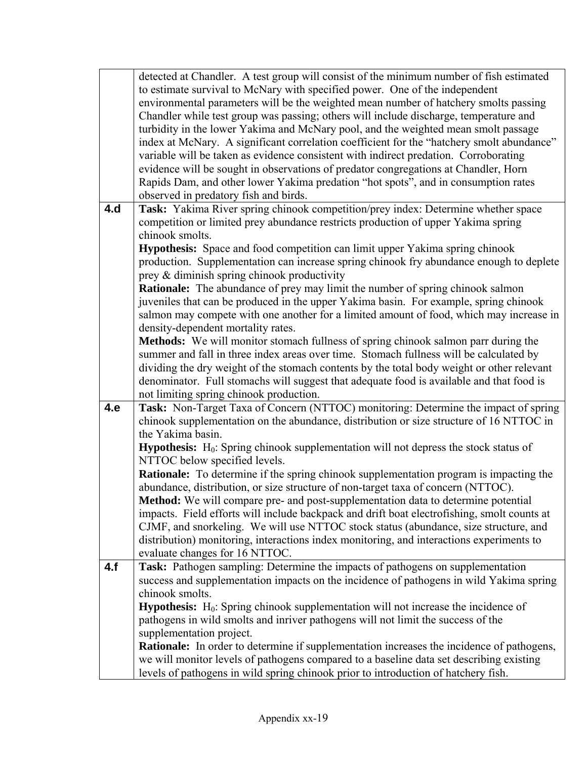|     | detected at Chandler. A test group will consist of the minimum number of fish estimated          |  |  |  |  |  |
|-----|--------------------------------------------------------------------------------------------------|--|--|--|--|--|
|     | to estimate survival to McNary with specified power. One of the independent                      |  |  |  |  |  |
|     | environmental parameters will be the weighted mean number of hatchery smolts passing             |  |  |  |  |  |
|     | Chandler while test group was passing; others will include discharge, temperature and            |  |  |  |  |  |
|     | turbidity in the lower Yakima and McNary pool, and the weighted mean smolt passage               |  |  |  |  |  |
|     | index at McNary. A significant correlation coefficient for the "hatchery smolt abundance"        |  |  |  |  |  |
|     | variable will be taken as evidence consistent with indirect predation. Corroborating             |  |  |  |  |  |
|     | evidence will be sought in observations of predator congregations at Chandler, Horn              |  |  |  |  |  |
|     | Rapids Dam, and other lower Yakima predation "hot spots", and in consumption rates               |  |  |  |  |  |
|     | observed in predatory fish and birds.                                                            |  |  |  |  |  |
| 4.d | Task: Yakima River spring chinook competition/prey index: Determine whether space                |  |  |  |  |  |
|     | competition or limited prey abundance restricts production of upper Yakima spring                |  |  |  |  |  |
|     | chinook smolts.                                                                                  |  |  |  |  |  |
|     | <b>Hypothesis:</b> Space and food competition can limit upper Yakima spring chinook              |  |  |  |  |  |
|     | production. Supplementation can increase spring chinook fry abundance enough to deplete          |  |  |  |  |  |
|     | prey & diminish spring chinook productivity                                                      |  |  |  |  |  |
|     | <b>Rationale:</b> The abundance of prey may limit the number of spring chinook salmon            |  |  |  |  |  |
|     | juveniles that can be produced in the upper Yakima basin. For example, spring chinook            |  |  |  |  |  |
|     | salmon may compete with one another for a limited amount of food, which may increase in          |  |  |  |  |  |
|     | density-dependent mortality rates.                                                               |  |  |  |  |  |
|     | Methods: We will monitor stomach fullness of spring chinook salmon parr during the               |  |  |  |  |  |
|     | summer and fall in three index areas over time. Stomach fullness will be calculated by           |  |  |  |  |  |
|     | dividing the dry weight of the stomach contents by the total body weight or other relevant       |  |  |  |  |  |
|     | denominator. Full stomachs will suggest that adequate food is available and that food is         |  |  |  |  |  |
|     | not limiting spring chinook production.                                                          |  |  |  |  |  |
| 4.e | Task: Non-Target Taxa of Concern (NTTOC) monitoring: Determine the impact of spring              |  |  |  |  |  |
|     | chinook supplementation on the abundance, distribution or size structure of 16 NTTOC in          |  |  |  |  |  |
|     | the Yakima basin.                                                                                |  |  |  |  |  |
|     | <b>Hypothesis:</b> $H_0$ : Spring chinook supplementation will not depress the stock status of   |  |  |  |  |  |
|     | NTTOC below specified levels.                                                                    |  |  |  |  |  |
|     | <b>Rationale:</b> To determine if the spring chinook supplementation program is impacting the    |  |  |  |  |  |
|     | abundance, distribution, or size structure of non-target taxa of concern (NTTOC).                |  |  |  |  |  |
|     | Method: We will compare pre- and post-supplementation data to determine potential                |  |  |  |  |  |
|     | impacts. Field efforts will include backpack and drift boat electrofishing, smolt counts at      |  |  |  |  |  |
|     | CJMF, and snorkeling. We will use NTTOC stock status (abundance, size structure, and             |  |  |  |  |  |
|     | distribution) monitoring, interactions index monitoring, and interactions experiments to         |  |  |  |  |  |
|     | evaluate changes for 16 NTTOC.                                                                   |  |  |  |  |  |
| 4.f | Task: Pathogen sampling: Determine the impacts of pathogens on supplementation                   |  |  |  |  |  |
|     | success and supplementation impacts on the incidence of pathogens in wild Yakima spring          |  |  |  |  |  |
|     | chinook smolts.                                                                                  |  |  |  |  |  |
|     | Hypothesis: H <sub>0</sub> : Spring chinook supplementation will not increase the incidence of   |  |  |  |  |  |
|     | pathogens in wild smolts and inriver pathogens will not limit the success of the                 |  |  |  |  |  |
|     | supplementation project.                                                                         |  |  |  |  |  |
|     | <b>Rationale:</b> In order to determine if supplementation increases the incidence of pathogens, |  |  |  |  |  |
|     | we will monitor levels of pathogens compared to a baseline data set describing existing          |  |  |  |  |  |
|     | levels of pathogens in wild spring chinook prior to introduction of hatchery fish.               |  |  |  |  |  |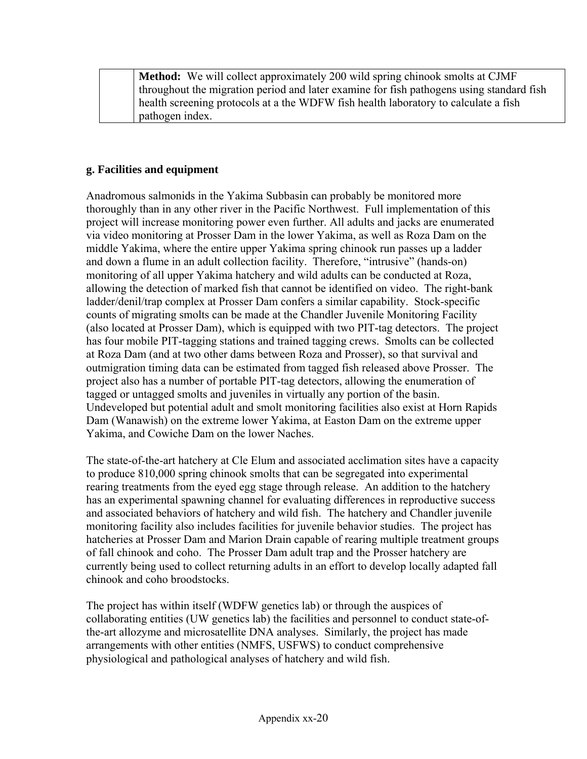**Method:** We will collect approximately 200 wild spring chinook smolts at CJMF throughout the migration period and later examine for fish pathogens using standard fish health screening protocols at a the WDFW fish health laboratory to calculate a fish pathogen index.

#### **g. Facilities and equipment**

Anadromous salmonids in the Yakima Subbasin can probably be monitored more thoroughly than in any other river in the Pacific Northwest. Full implementation of this project will increase monitoring power even further. All adults and jacks are enumerated via video monitoring at Prosser Dam in the lower Yakima, as well as Roza Dam on the middle Yakima, where the entire upper Yakima spring chinook run passes up a ladder and down a flume in an adult collection facility. Therefore, "intrusive" (hands-on) monitoring of all upper Yakima hatchery and wild adults can be conducted at Roza, allowing the detection of marked fish that cannot be identified on video. The right-bank ladder/denil/trap complex at Prosser Dam confers a similar capability. Stock-specific counts of migrating smolts can be made at the Chandler Juvenile Monitoring Facility (also located at Prosser Dam), which is equipped with two PIT-tag detectors. The project has four mobile PIT-tagging stations and trained tagging crews. Smolts can be collected at Roza Dam (and at two other dams between Roza and Prosser), so that survival and outmigration timing data can be estimated from tagged fish released above Prosser. The project also has a number of portable PIT-tag detectors, allowing the enumeration of tagged or untagged smolts and juveniles in virtually any portion of the basin. Undeveloped but potential adult and smolt monitoring facilities also exist at Horn Rapids Dam (Wanawish) on the extreme lower Yakima, at Easton Dam on the extreme upper Yakima, and Cowiche Dam on the lower Naches.

The state-of-the-art hatchery at Cle Elum and associated acclimation sites have a capacity to produce 810,000 spring chinook smolts that can be segregated into experimental rearing treatments from the eyed egg stage through release. An addition to the hatchery has an experimental spawning channel for evaluating differences in reproductive success and associated behaviors of hatchery and wild fish. The hatchery and Chandler juvenile monitoring facility also includes facilities for juvenile behavior studies. The project has hatcheries at Prosser Dam and Marion Drain capable of rearing multiple treatment groups of fall chinook and coho. The Prosser Dam adult trap and the Prosser hatchery are currently being used to collect returning adults in an effort to develop locally adapted fall chinook and coho broodstocks.

The project has within itself (WDFW genetics lab) or through the auspices of collaborating entities (UW genetics lab) the facilities and personnel to conduct state-ofthe-art allozyme and microsatellite DNA analyses. Similarly, the project has made arrangements with other entities (NMFS, USFWS) to conduct comprehensive physiological and pathological analyses of hatchery and wild fish.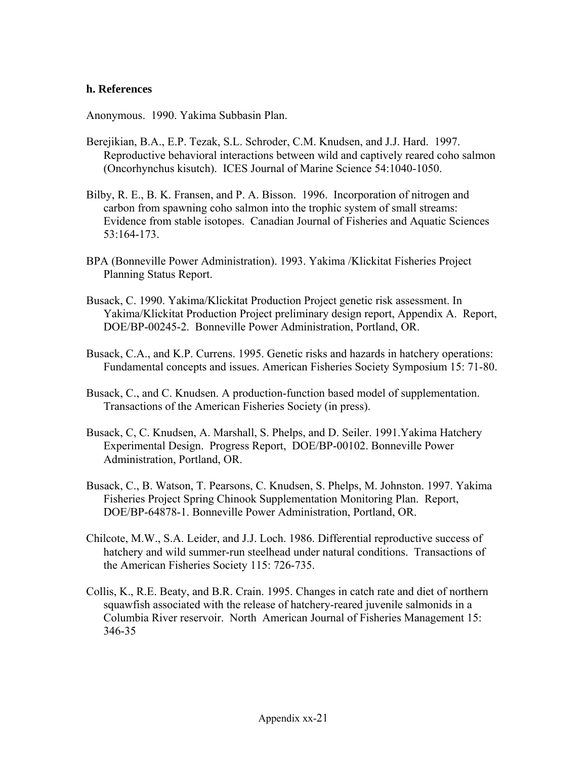#### **h. References**

Anonymous. 1990. Yakima Subbasin Plan.

- Berejikian, B.A., E.P. Tezak, S.L. Schroder, C.M. Knudsen, and J.J. Hard. 1997. Reproductive behavioral interactions between wild and captively reared coho salmon (Oncorhynchus kisutch). ICES Journal of Marine Science 54:1040-1050.
- Bilby, R. E., B. K. Fransen, and P. A. Bisson. 1996. Incorporation of nitrogen and carbon from spawning coho salmon into the trophic system of small streams: Evidence from stable isotopes. Canadian Journal of Fisheries and Aquatic Sciences 53:164-173.
- BPA (Bonneville Power Administration). 1993. Yakima /Klickitat Fisheries Project Planning Status Report.
- Busack, C. 1990. Yakima/Klickitat Production Project genetic risk assessment. In Yakima/Klickitat Production Project preliminary design report, Appendix A. Report, DOE/BP-00245-2. Bonneville Power Administration, Portland, OR.
- Busack, C.A., and K.P. Currens. 1995. Genetic risks and hazards in hatchery operations: Fundamental concepts and issues. American Fisheries Society Symposium 15: 71-80.
- Busack, C., and C. Knudsen. A production-function based model of supplementation. Transactions of the American Fisheries Society (in press).
- Busack, C, C. Knudsen, A. Marshall, S. Phelps, and D. Seiler. 1991.Yakima Hatchery Experimental Design. Progress Report, DOE/BP-00102. Bonneville Power Administration, Portland, OR.
- Busack, C., B. Watson, T. Pearsons, C. Knudsen, S. Phelps, M. Johnston. 1997. Yakima Fisheries Project Spring Chinook Supplementation Monitoring Plan. Report, DOE/BP-64878-1. Bonneville Power Administration, Portland, OR.
- Chilcote, M.W., S.A. Leider, and J.J. Loch. 1986. Differential reproductive success of hatchery and wild summer-run steelhead under natural conditions. Transactions of the American Fisheries Society 115: 726-735.
- Collis, K., R.E. Beaty, and B.R. Crain. 1995. Changes in catch rate and diet of northern squawfish associated with the release of hatchery-reared juvenile salmonids in a Columbia River reservoir. North American Journal of Fisheries Management 15: 346-35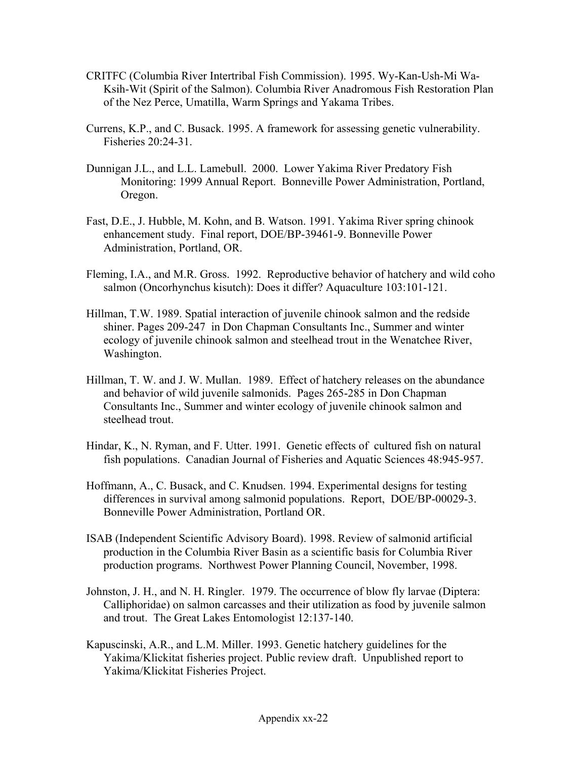- CRITFC (Columbia River Intertribal Fish Commission). 1995. Wy-Kan-Ush-Mi Wa-Ksih-Wit (Spirit of the Salmon). Columbia River Anadromous Fish Restoration Plan of the Nez Perce, Umatilla, Warm Springs and Yakama Tribes.
- Currens, K.P., and C. Busack. 1995. A framework for assessing genetic vulnerability. Fisheries 20:24-31.
- Dunnigan J.L., and L.L. Lamebull. 2000. Lower Yakima River Predatory Fish Monitoring: 1999 Annual Report. Bonneville Power Administration, Portland, Oregon.
- Fast, D.E., J. Hubble, M. Kohn, and B. Watson. 1991. Yakima River spring chinook enhancement study. Final report, DOE/BP-39461-9. Bonneville Power Administration, Portland, OR.
- Fleming, I.A., and M.R. Gross. 1992. Reproductive behavior of hatchery and wild coho salmon (Oncorhynchus kisutch): Does it differ? Aquaculture 103:101-121.
- Hillman, T.W. 1989. Spatial interaction of juvenile chinook salmon and the redside shiner. Pages 209-247 in Don Chapman Consultants Inc., Summer and winter ecology of juvenile chinook salmon and steelhead trout in the Wenatchee River, Washington.
- Hillman, T. W. and J. W. Mullan. 1989. Effect of hatchery releases on the abundance and behavior of wild juvenile salmonids. Pages 265-285 in Don Chapman Consultants Inc., Summer and winter ecology of juvenile chinook salmon and steelhead trout.
- Hindar, K., N. Ryman, and F. Utter. 1991. Genetic effects of cultured fish on natural fish populations. Canadian Journal of Fisheries and Aquatic Sciences 48:945-957.
- Hoffmann, A., C. Busack, and C. Knudsen. 1994. Experimental designs for testing differences in survival among salmonid populations. Report, DOE/BP-00029-3. Bonneville Power Administration, Portland OR.
- ISAB (Independent Scientific Advisory Board). 1998. Review of salmonid artificial production in the Columbia River Basin as a scientific basis for Columbia River production programs. Northwest Power Planning Council, November, 1998.
- Johnston, J. H., and N. H. Ringler. 1979. The occurrence of blow fly larvae (Diptera: Calliphoridae) on salmon carcasses and their utilization as food by juvenile salmon and trout. The Great Lakes Entomologist 12:137-140.
- Kapuscinski, A.R., and L.M. Miller. 1993. Genetic hatchery guidelines for the Yakima/Klickitat fisheries project. Public review draft. Unpublished report to Yakima/Klickitat Fisheries Project.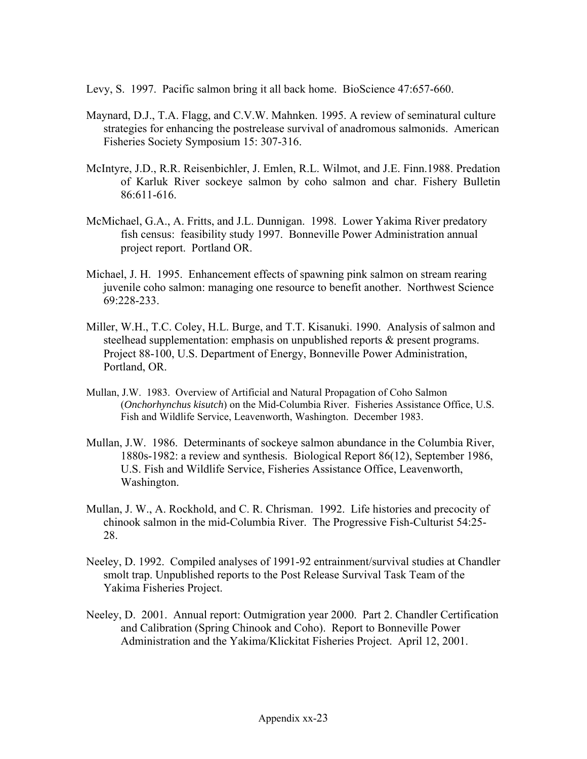Levy, S. 1997. Pacific salmon bring it all back home. BioScience 47:657-660.

- Maynard, D.J., T.A. Flagg, and C.V.W. Mahnken. 1995. A review of seminatural culture strategies for enhancing the postrelease survival of anadromous salmonids. American Fisheries Society Symposium 15: 307-316.
- McIntyre, J.D., R.R. Reisenbichler, J. Emlen, R.L. Wilmot, and J.E. Finn.1988. Predation of Karluk River sockeye salmon by coho salmon and char. Fishery Bulletin 86:611-616.
- McMichael, G.A., A. Fritts, and J.L. Dunnigan. 1998. Lower Yakima River predatory fish census: feasibility study 1997. Bonneville Power Administration annual project report. Portland OR.
- Michael, J. H. 1995. Enhancement effects of spawning pink salmon on stream rearing juvenile coho salmon: managing one resource to benefit another. Northwest Science 69:228-233.
- Miller, W.H., T.C. Coley, H.L. Burge, and T.T. Kisanuki. 1990. Analysis of salmon and steelhead supplementation: emphasis on unpublished reports  $\&$  present programs. Project 88-100, U.S. Department of Energy, Bonneville Power Administration, Portland, OR.
- Mullan, J.W. 1983. Overview of Artificial and Natural Propagation of Coho Salmon (*Onchorhynchus kisutch*) on the Mid-Columbia River. Fisheries Assistance Office, U.S. Fish and Wildlife Service, Leavenworth, Washington. December 1983.
- Mullan, J.W. 1986. Determinants of sockeye salmon abundance in the Columbia River, 1880s-1982: a review and synthesis. Biological Report 86(12), September 1986, U.S. Fish and Wildlife Service, Fisheries Assistance Office, Leavenworth, Washington.
- Mullan, J. W., A. Rockhold, and C. R. Chrisman. 1992. Life histories and precocity of chinook salmon in the mid-Columbia River. The Progressive Fish-Culturist 54:25- 28.
- Neeley, D. 1992. Compiled analyses of 1991-92 entrainment/survival studies at Chandler smolt trap. Unpublished reports to the Post Release Survival Task Team of the Yakima Fisheries Project.
- Neeley, D. 2001. Annual report: Outmigration year 2000. Part 2. Chandler Certification and Calibration (Spring Chinook and Coho). Report to Bonneville Power Administration and the Yakima/Klickitat Fisheries Project. April 12, 2001.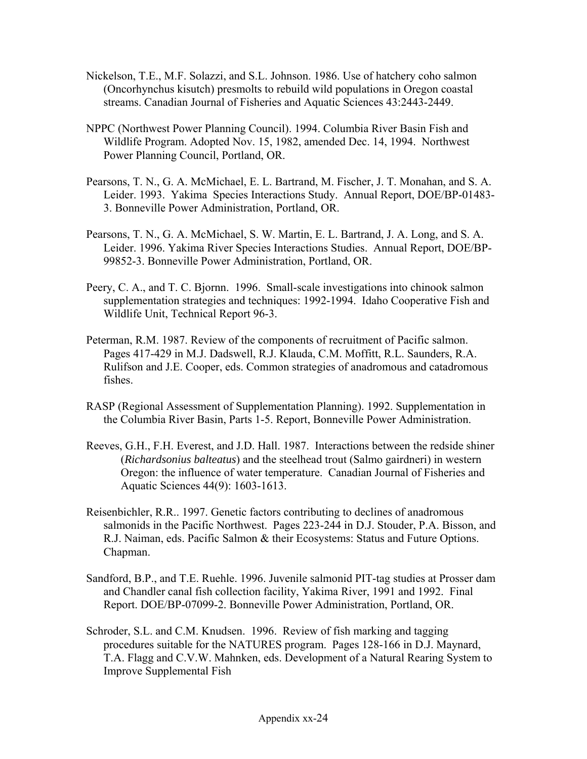- Nickelson, T.E., M.F. Solazzi, and S.L. Johnson. 1986. Use of hatchery coho salmon (Oncorhynchus kisutch) presmolts to rebuild wild populations in Oregon coastal streams. Canadian Journal of Fisheries and Aquatic Sciences 43:2443-2449.
- NPPC (Northwest Power Planning Council). 1994. Columbia River Basin Fish and Wildlife Program. Adopted Nov. 15, 1982, amended Dec. 14, 1994. Northwest Power Planning Council, Portland, OR.
- Pearsons, T. N., G. A. McMichael, E. L. Bartrand, M. Fischer, J. T. Monahan, and S. A. Leider. 1993. Yakima Species Interactions Study. Annual Report, DOE/BP-01483- 3. Bonneville Power Administration, Portland, OR.
- Pearsons, T. N., G. A. McMichael, S. W. Martin, E. L. Bartrand, J. A. Long, and S. A. Leider. 1996. Yakima River Species Interactions Studies. Annual Report, DOE/BP-99852-3. Bonneville Power Administration, Portland, OR.
- Peery, C. A., and T. C. Bjornn. 1996. Small-scale investigations into chinook salmon supplementation strategies and techniques: 1992-1994. Idaho Cooperative Fish and Wildlife Unit, Technical Report 96-3.
- Peterman, R.M. 1987. Review of the components of recruitment of Pacific salmon. Pages 417-429 in M.J. Dadswell, R.J. Klauda, C.M. Moffitt, R.L. Saunders, R.A. Rulifson and J.E. Cooper, eds. Common strategies of anadromous and catadromous fishes.
- RASP (Regional Assessment of Supplementation Planning). 1992. Supplementation in the Columbia River Basin, Parts 1-5. Report, Bonneville Power Administration.
- Reeves, G.H., F.H. Everest, and J.D. Hall. 1987. Interactions between the redside shiner (*Richardsonius balteatus*) and the steelhead trout (Salmo gairdneri) in western Oregon: the influence of water temperature. Canadian Journal of Fisheries and Aquatic Sciences 44(9): 1603-1613.
- Reisenbichler, R.R.. 1997. Genetic factors contributing to declines of anadromous salmonids in the Pacific Northwest. Pages 223-244 in D.J. Stouder, P.A. Bisson, and R.J. Naiman, eds. Pacific Salmon & their Ecosystems: Status and Future Options. Chapman.
- Sandford, B.P., and T.E. Ruehle. 1996. Juvenile salmonid PIT-tag studies at Prosser dam and Chandler canal fish collection facility, Yakima River, 1991 and 1992. Final Report. DOE/BP-07099-2. Bonneville Power Administration, Portland, OR.
- Schroder, S.L. and C.M. Knudsen. 1996. Review of fish marking and tagging procedures suitable for the NATURES program. Pages 128-166 in D.J. Maynard, T.A. Flagg and C.V.W. Mahnken, eds. Development of a Natural Rearing System to Improve Supplemental Fish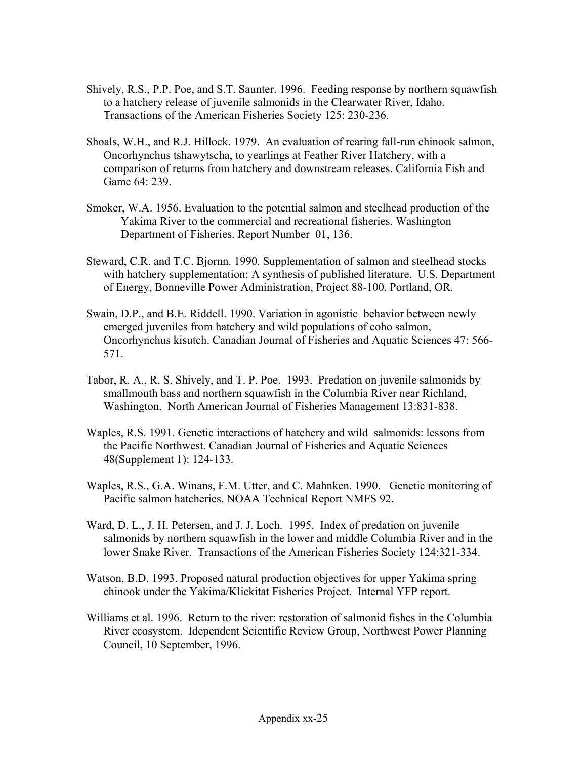- Shively, R.S., P.P. Poe, and S.T. Saunter. 1996. Feeding response by northern squawfish to a hatchery release of juvenile salmonids in the Clearwater River, Idaho. Transactions of the American Fisheries Society 125: 230-236.
- Shoals, W.H., and R.J. Hillock. 1979. An evaluation of rearing fall-run chinook salmon, Oncorhynchus tshawytscha, to yearlings at Feather River Hatchery, with a comparison of returns from hatchery and downstream releases. California Fish and Game 64: 239.
- Smoker, W.A. 1956. Evaluation to the potential salmon and steelhead production of the Yakima River to the commercial and recreational fisheries. Washington Department of Fisheries. Report Number 01, 136.
- Steward, C.R. and T.C. Bjornn. 1990. Supplementation of salmon and steelhead stocks with hatchery supplementation: A synthesis of published literature. U.S. Department of Energy, Bonneville Power Administration, Project 88-100. Portland, OR.
- Swain, D.P., and B.E. Riddell. 1990. Variation in agonistic behavior between newly emerged juveniles from hatchery and wild populations of coho salmon, Oncorhynchus kisutch. Canadian Journal of Fisheries and Aquatic Sciences 47: 566- 571.
- Tabor, R. A., R. S. Shively, and T. P. Poe. 1993. Predation on juvenile salmonids by smallmouth bass and northern squawfish in the Columbia River near Richland, Washington. North American Journal of Fisheries Management 13:831-838.
- Waples, R.S. 1991. Genetic interactions of hatchery and wild salmonids: lessons from the Pacific Northwest. Canadian Journal of Fisheries and Aquatic Sciences 48(Supplement 1): 124-133.
- Waples, R.S., G.A. Winans, F.M. Utter, and C. Mahnken. 1990. Genetic monitoring of Pacific salmon hatcheries. NOAA Technical Report NMFS 92.
- Ward, D. L., J. H. Petersen, and J. J. Loch. 1995. Index of predation on juvenile salmonids by northern squawfish in the lower and middle Columbia River and in the lower Snake River. Transactions of the American Fisheries Society 124:321-334.
- Watson, B.D. 1993. Proposed natural production objectives for upper Yakima spring chinook under the Yakima/Klickitat Fisheries Project. Internal YFP report.
- Williams et al. 1996. Return to the river: restoration of salmonid fishes in the Columbia River ecosystem. Idependent Scientific Review Group, Northwest Power Planning Council, 10 September, 1996.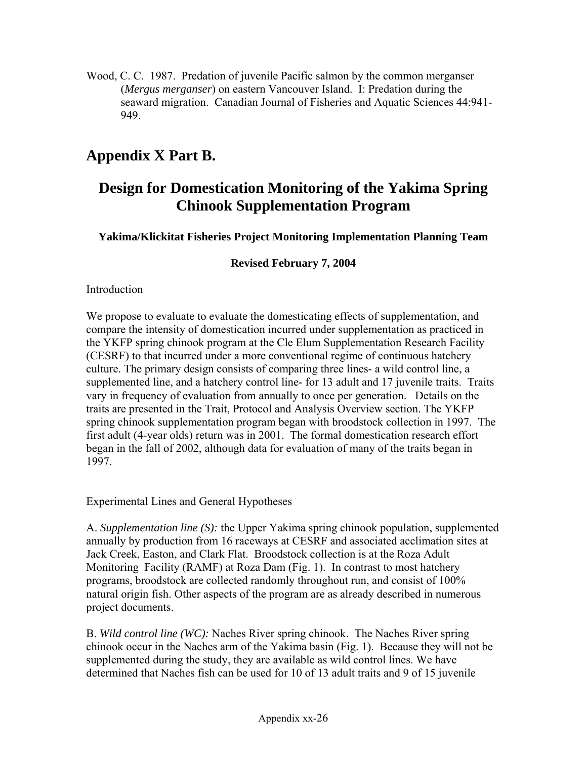Wood, C. C. 1987. Predation of juvenile Pacific salmon by the common merganser (*Mergus merganser*) on eastern Vancouver Island. I: Predation during the seaward migration. Canadian Journal of Fisheries and Aquatic Sciences 44:941- 949.

# **Appendix X Part B.**

# **Design for Domestication Monitoring of the Yakima Spring Chinook Supplementation Program**

**Yakima/Klickitat Fisheries Project Monitoring Implementation Planning Team** 

**Revised February 7, 2004** 

#### Introduction

We propose to evaluate to evaluate the domesticating effects of supplementation, and compare the intensity of domestication incurred under supplementation as practiced in the YKFP spring chinook program at the Cle Elum Supplementation Research Facility (CESRF) to that incurred under a more conventional regime of continuous hatchery culture. The primary design consists of comparing three lines- a wild control line, a supplemented line, and a hatchery control line- for 13 adult and 17 juvenile traits. Traits vary in frequency of evaluation from annually to once per generation. Details on the traits are presented in the Trait, Protocol and Analysis Overview section. The YKFP spring chinook supplementation program began with broodstock collection in 1997. The first adult (4-year olds) return was in 2001. The formal domestication research effort began in the fall of 2002, although data for evaluation of many of the traits began in 1997.

Experimental Lines and General Hypotheses

A. *Supplementation line (S):* the Upper Yakima spring chinook population, supplemented annually by production from 16 raceways at CESRF and associated acclimation sites at Jack Creek, Easton, and Clark Flat. Broodstock collection is at the Roza Adult Monitoring Facility (RAMF) at Roza Dam (Fig. 1). In contrast to most hatchery programs, broodstock are collected randomly throughout run, and consist of 100% natural origin fish. Other aspects of the program are as already described in numerous project documents.

B. *Wild control line (WC):* Naches River spring chinook. The Naches River spring chinook occur in the Naches arm of the Yakima basin (Fig. 1). Because they will not be supplemented during the study, they are available as wild control lines. We have determined that Naches fish can be used for 10 of 13 adult traits and 9 of 15 juvenile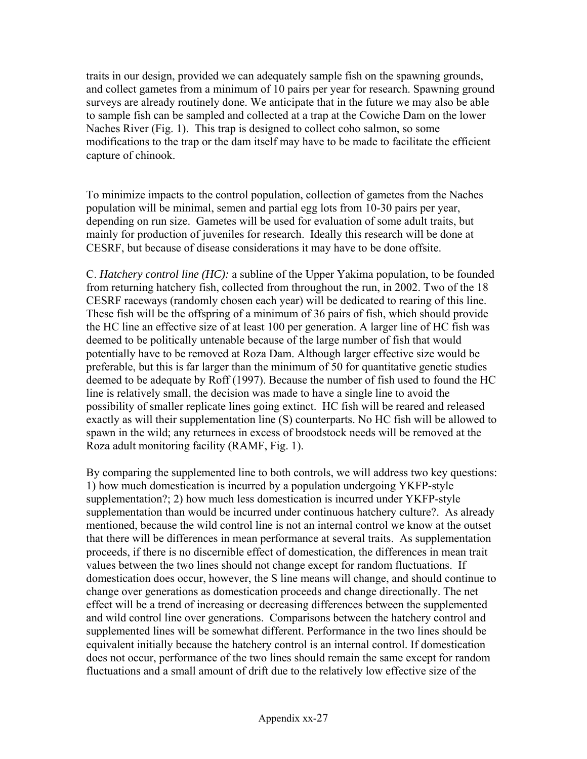traits in our design, provided we can adequately sample fish on the spawning grounds, and collect gametes from a minimum of 10 pairs per year for research. Spawning ground surveys are already routinely done. We anticipate that in the future we may also be able to sample fish can be sampled and collected at a trap at the Cowiche Dam on the lower Naches River (Fig. 1). This trap is designed to collect coho salmon, so some modifications to the trap or the dam itself may have to be made to facilitate the efficient capture of chinook.

To minimize impacts to the control population, collection of gametes from the Naches population will be minimal, semen and partial egg lots from 10-30 pairs per year, depending on run size. Gametes will be used for evaluation of some adult traits, but mainly for production of juveniles for research. Ideally this research will be done at CESRF, but because of disease considerations it may have to be done offsite.

C. *Hatchery control line (HC):* a subline of the Upper Yakima population, to be founded from returning hatchery fish, collected from throughout the run, in 2002. Two of the 18 CESRF raceways (randomly chosen each year) will be dedicated to rearing of this line. These fish will be the offspring of a minimum of 36 pairs of fish, which should provide the HC line an effective size of at least 100 per generation. A larger line of HC fish was deemed to be politically untenable because of the large number of fish that would potentially have to be removed at Roza Dam. Although larger effective size would be preferable, but this is far larger than the minimum of 50 for quantitative genetic studies deemed to be adequate by Roff (1997). Because the number of fish used to found the HC line is relatively small, the decision was made to have a single line to avoid the possibility of smaller replicate lines going extinct. HC fish will be reared and released exactly as will their supplementation line (S) counterparts. No HC fish will be allowed to spawn in the wild; any returnees in excess of broodstock needs will be removed at the Roza adult monitoring facility (RAMF, Fig. 1).

By comparing the supplemented line to both controls, we will address two key questions: 1) how much domestication is incurred by a population undergoing YKFP-style supplementation?; 2) how much less domestication is incurred under YKFP-style supplementation than would be incurred under continuous hatchery culture?. As already mentioned, because the wild control line is not an internal control we know at the outset that there will be differences in mean performance at several traits. As supplementation proceeds, if there is no discernible effect of domestication, the differences in mean trait values between the two lines should not change except for random fluctuations. If domestication does occur, however, the S line means will change, and should continue to change over generations as domestication proceeds and change directionally. The net effect will be a trend of increasing or decreasing differences between the supplemented and wild control line over generations. Comparisons between the hatchery control and supplemented lines will be somewhat different. Performance in the two lines should be equivalent initially because the hatchery control is an internal control. If domestication does not occur, performance of the two lines should remain the same except for random fluctuations and a small amount of drift due to the relatively low effective size of the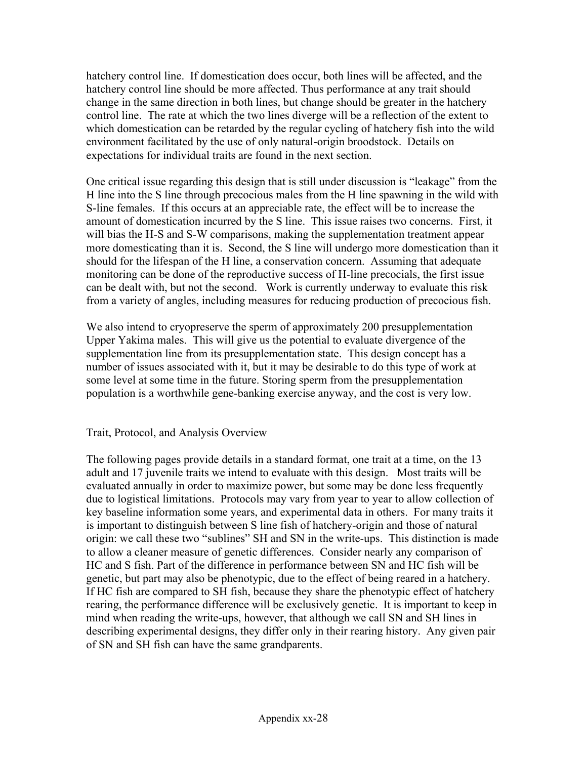hatchery control line. If domestication does occur, both lines will be affected, and the hatchery control line should be more affected. Thus performance at any trait should change in the same direction in both lines, but change should be greater in the hatchery control line. The rate at which the two lines diverge will be a reflection of the extent to which domestication can be retarded by the regular cycling of hatchery fish into the wild environment facilitated by the use of only natural-origin broodstock. Details on expectations for individual traits are found in the next section.

One critical issue regarding this design that is still under discussion is "leakage" from the H line into the S line through precocious males from the H line spawning in the wild with S-line females. If this occurs at an appreciable rate, the effect will be to increase the amount of domestication incurred by the S line. This issue raises two concerns. First, it will bias the H-S and S-W comparisons, making the supplementation treatment appear more domesticating than it is. Second, the S line will undergo more domestication than it should for the lifespan of the H line, a conservation concern. Assuming that adequate monitoring can be done of the reproductive success of H-line precocials, the first issue can be dealt with, but not the second. Work is currently underway to evaluate this risk from a variety of angles, including measures for reducing production of precocious fish.

We also intend to cryopreserve the sperm of approximately 200 presupplementation Upper Yakima males. This will give us the potential to evaluate divergence of the supplementation line from its presupplementation state. This design concept has a number of issues associated with it, but it may be desirable to do this type of work at some level at some time in the future. Storing sperm from the presupplementation population is a worthwhile gene-banking exercise anyway, and the cost is very low.

Trait, Protocol, and Analysis Overview

The following pages provide details in a standard format, one trait at a time, on the 13 adult and 17 juvenile traits we intend to evaluate with this design. Most traits will be evaluated annually in order to maximize power, but some may be done less frequently due to logistical limitations. Protocols may vary from year to year to allow collection of key baseline information some years, and experimental data in others. For many traits it is important to distinguish between S line fish of hatchery-origin and those of natural origin: we call these two "sublines" SH and SN in the write-ups. This distinction is made to allow a cleaner measure of genetic differences. Consider nearly any comparison of HC and S fish. Part of the difference in performance between SN and HC fish will be genetic, but part may also be phenotypic, due to the effect of being reared in a hatchery. If HC fish are compared to SH fish, because they share the phenotypic effect of hatchery rearing, the performance difference will be exclusively genetic. It is important to keep in mind when reading the write-ups, however, that although we call SN and SH lines in describing experimental designs, they differ only in their rearing history. Any given pair of SN and SH fish can have the same grandparents.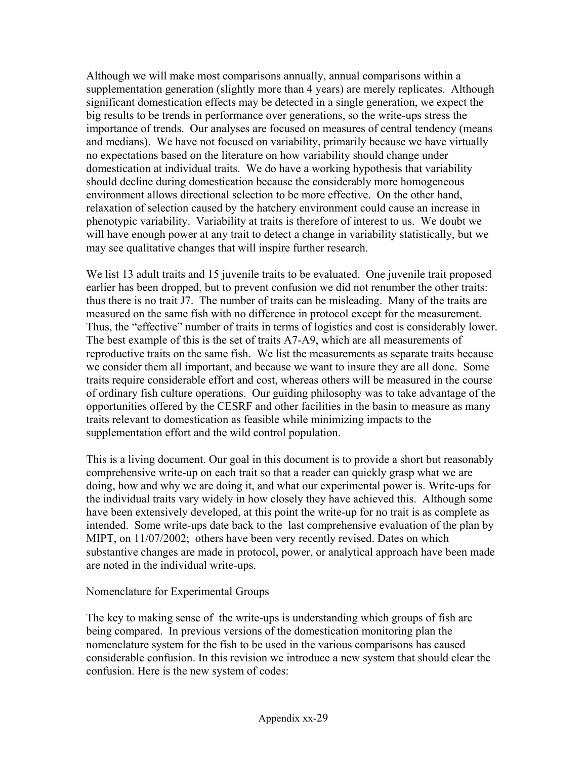Although we will make most comparisons annually, annual comparisons within a supplementation generation (slightly more than 4 years) are merely replicates. Although significant domestication effects may be detected in a single generation, we expect the big results to be trends in performance over generations, so the write-ups stress the importance of trends. Our analyses are focused on measures of central tendency (means and medians). We have not focused on variability, primarily because we have virtually no expectations based on the literature on how variability should change under domestication at individual traits. We do have a working hypothesis that variability should decline during domestication because the considerably more homogeneous environment allows directional selection to be more effective. On the other hand, relaxation of selection caused by the hatchery environment could cause an increase in phenotypic variability. Variability at traits is therefore of interest to us. We doubt we will have enough power at any trait to detect a change in variability statistically, but we may see qualitative changes that will inspire further research.

We list 13 adult traits and 15 juvenile traits to be evaluated. One juvenile trait proposed earlier has been dropped, but to prevent confusion we did not renumber the other traits: thus there is no trait J7. The number of traits can be misleading. Many of the traits are measured on the same fish with no difference in protocol except for the measurement. Thus, the "effective" number of traits in terms of logistics and cost is considerably lower. The best example of this is the set of traits A7-A9, which are all measurements of reproductive traits on the same fish. We list the measurements as separate traits because we consider them all important, and because we want to insure they are all done. Some traits require considerable effort and cost, whereas others will be measured in the course of ordinary fish culture operations. Our guiding philosophy was to take advantage of the opportunities offered by the CESRF and other facilities in the basin to measure as many traits relevant to domestication as feasible while minimizing impacts to the supplementation effort and the wild control population.

This is a living document. Our goal in this document is to provide a short but reasonably comprehensive write-up on each trait so that a reader can quickly grasp what we are doing, how and why we are doing it, and what our experimental power is. Write-ups for the individual traits vary widely in how closely they have achieved this. Although some have been extensively developed, at this point the write-up for no trait is as complete as intended. Some write-ups date back to the last comprehensive evaluation of the plan by MIPT, on 11/07/2002; others have been very recently revised. Dates on which substantive changes are made in protocol, power, or analytical approach have been made are noted in the individual write-ups.

#### Nomenclature for Experimental Groups

The key to making sense of the write-ups is understanding which groups of fish are being compared. In previous versions of the domestication monitoring plan the nomenclature system for the fish to be used in the various comparisons has caused considerable confusion. In this revision we introduce a new system that should clear the confusion. Here is the new system of codes: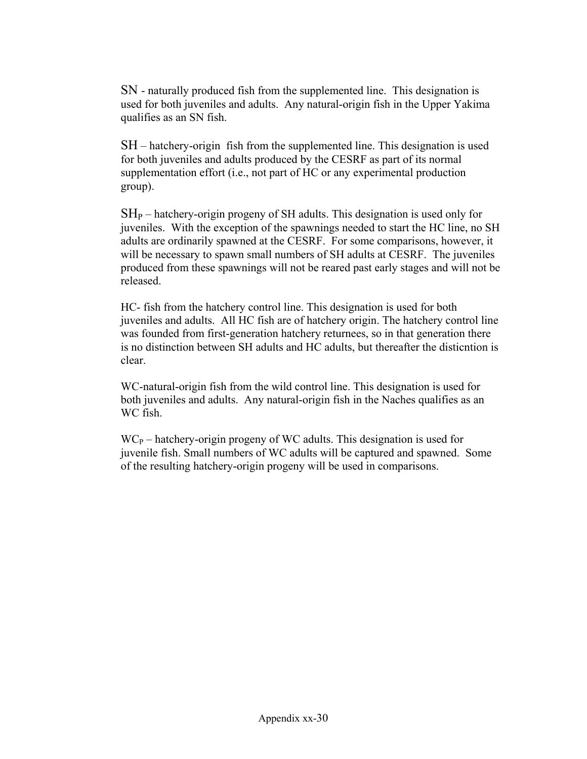SN - naturally produced fish from the supplemented line. This designation is used for both juveniles and adults. Any natural-origin fish in the Upper Yakima qualifies as an SN fish.

SH – hatchery-origin fish from the supplemented line. This designation is used for both juveniles and adults produced by the CESRF as part of its normal supplementation effort (i.e., not part of HC or any experimental production group).

 $SH_{P}$  – hatchery-origin progeny of SH adults. This designation is used only for juveniles. With the exception of the spawnings needed to start the HC line, no SH adults are ordinarily spawned at the CESRF. For some comparisons, however, it will be necessary to spawn small numbers of SH adults at CESRF. The juveniles produced from these spawnings will not be reared past early stages and will not be released.

HC- fish from the hatchery control line. This designation is used for both juveniles and adults. All HC fish are of hatchery origin. The hatchery control line was founded from first-generation hatchery returnees, so in that generation there is no distinction between SH adults and HC adults, but thereafter the disticntion is clear.

WC-natural-origin fish from the wild control line. This designation is used for both juveniles and adults. Any natural-origin fish in the Naches qualifies as an WC fish.

 $WC_{P}$  – hatchery-origin progeny of WC adults. This designation is used for juvenile fish. Small numbers of WC adults will be captured and spawned. Some of the resulting hatchery-origin progeny will be used in comparisons.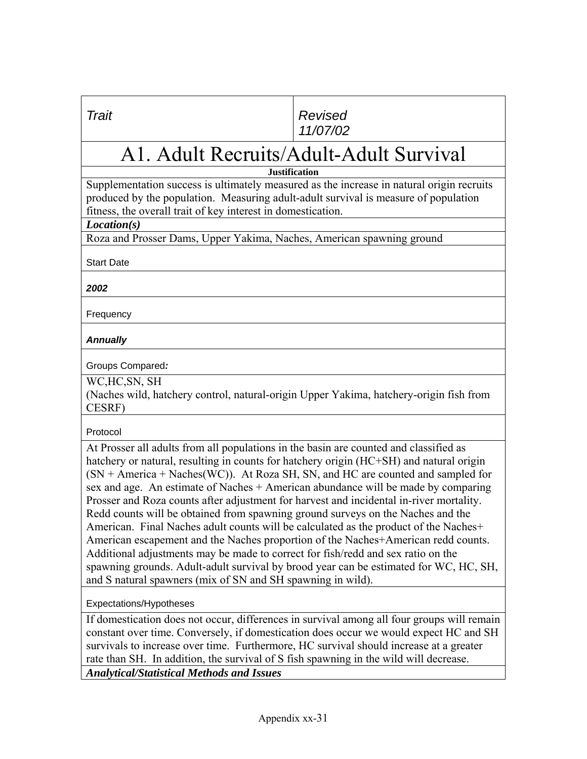#### *Trait Revised 11/07/02*

# A1. Adult Recruits/Adult-Adult Survival

**Justification** 

Supplementation success is ultimately measured as the increase in natural origin recruits produced by the population. Measuring adult-adult survival is measure of population fitness, the overall trait of key interest in domestication.

*Location(s)*

Roza and Prosser Dams, Upper Yakima, Naches, American spawning ground

Start Date

*2002* 

Frequency

#### *Annually*

Groups Compared*:* 

WC,HC,SN, SH

(Naches wild, hatchery control, natural-origin Upper Yakima, hatchery-origin fish from CESRF)

Protocol

At Prosser all adults from all populations in the basin are counted and classified as hatchery or natural, resulting in counts for hatchery origin (HC+SH) and natural origin  $(SN + America + Naches(WC))$ . At Roza SH, SN, and HC are counted and sampled for sex and age. An estimate of Naches + American abundance will be made by comparing Prosser and Roza counts after adjustment for harvest and incidental in-river mortality. Redd counts will be obtained from spawning ground surveys on the Naches and the American. Final Naches adult counts will be calculated as the product of the Naches+ American escapement and the Naches proportion of the Naches+American redd counts. Additional adjustments may be made to correct for fish/redd and sex ratio on the spawning grounds. Adult-adult survival by brood year can be estimated for WC, HC, SH, and S natural spawners (mix of SN and SH spawning in wild).

Expectations/Hypotheses

If domestication does not occur, differences in survival among all four groups will remain constant over time. Conversely, if domestication does occur we would expect HC and SH survivals to increase over time. Furthermore, HC survival should increase at a greater rate than SH. In addition, the survival of S fish spawning in the wild will decrease. *Analytical/Statistical Methods and Issues*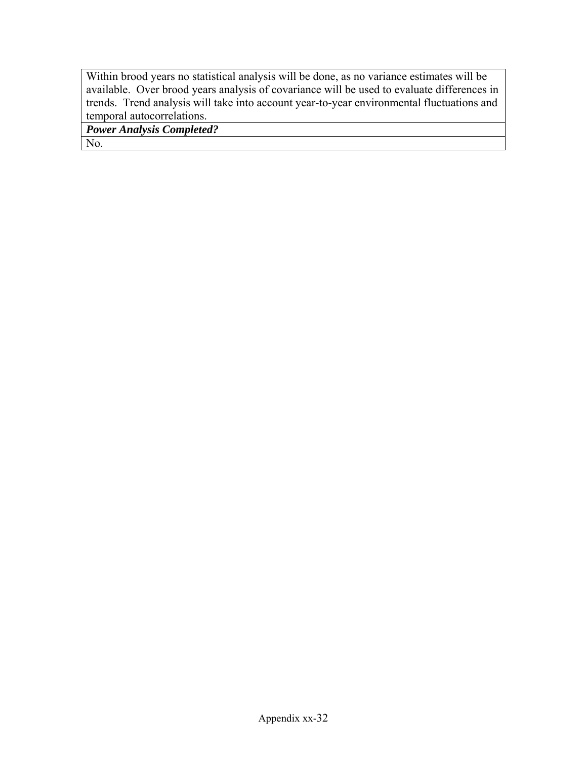Within brood years no statistical analysis will be done, as no variance estimates will be available. Over brood years analysis of covariance will be used to evaluate differences in trends. Trend analysis will take into account year-to-year environmental fluctuations and temporal autocorrelations.

*Power Analysis Completed?* 

No.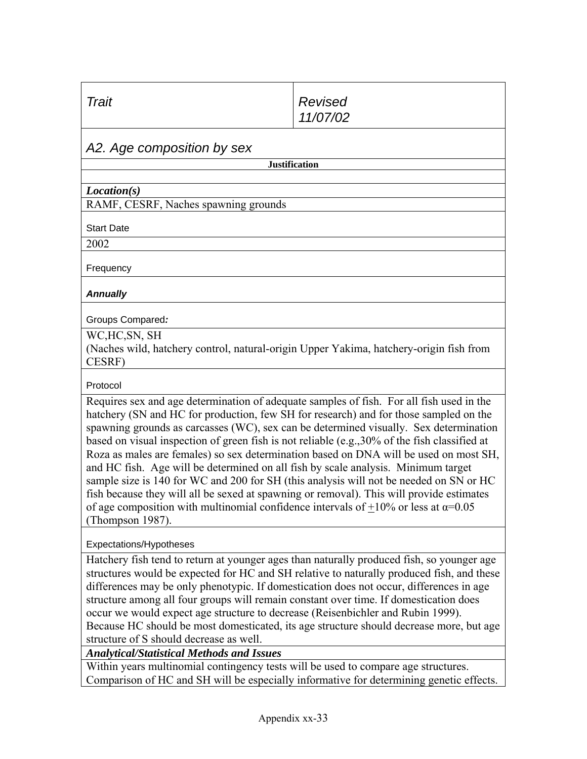| Trait                                                                                                                                                                                                                                                                                                                                                                                                                                                                                                                                                                                                                                                                                                                                                                                                                                                                    | Revised<br>11/07/02  |  |  |  |  |
|--------------------------------------------------------------------------------------------------------------------------------------------------------------------------------------------------------------------------------------------------------------------------------------------------------------------------------------------------------------------------------------------------------------------------------------------------------------------------------------------------------------------------------------------------------------------------------------------------------------------------------------------------------------------------------------------------------------------------------------------------------------------------------------------------------------------------------------------------------------------------|----------------------|--|--|--|--|
| A2. Age composition by sex                                                                                                                                                                                                                                                                                                                                                                                                                                                                                                                                                                                                                                                                                                                                                                                                                                               |                      |  |  |  |  |
|                                                                                                                                                                                                                                                                                                                                                                                                                                                                                                                                                                                                                                                                                                                                                                                                                                                                          | <b>Justification</b> |  |  |  |  |
| Location(s)                                                                                                                                                                                                                                                                                                                                                                                                                                                                                                                                                                                                                                                                                                                                                                                                                                                              |                      |  |  |  |  |
| RAMF, CESRF, Naches spawning grounds                                                                                                                                                                                                                                                                                                                                                                                                                                                                                                                                                                                                                                                                                                                                                                                                                                     |                      |  |  |  |  |
| <b>Start Date</b>                                                                                                                                                                                                                                                                                                                                                                                                                                                                                                                                                                                                                                                                                                                                                                                                                                                        |                      |  |  |  |  |
| 2002                                                                                                                                                                                                                                                                                                                                                                                                                                                                                                                                                                                                                                                                                                                                                                                                                                                                     |                      |  |  |  |  |
| Frequency                                                                                                                                                                                                                                                                                                                                                                                                                                                                                                                                                                                                                                                                                                                                                                                                                                                                |                      |  |  |  |  |
| <b>Annually</b>                                                                                                                                                                                                                                                                                                                                                                                                                                                                                                                                                                                                                                                                                                                                                                                                                                                          |                      |  |  |  |  |
| Groups Compared:                                                                                                                                                                                                                                                                                                                                                                                                                                                                                                                                                                                                                                                                                                                                                                                                                                                         |                      |  |  |  |  |
| WC,HC,SN, SH<br>(Naches wild, hatchery control, natural-origin Upper Yakima, hatchery-origin fish from<br>CESRF)                                                                                                                                                                                                                                                                                                                                                                                                                                                                                                                                                                                                                                                                                                                                                         |                      |  |  |  |  |
| Protocol                                                                                                                                                                                                                                                                                                                                                                                                                                                                                                                                                                                                                                                                                                                                                                                                                                                                 |                      |  |  |  |  |
| Requires sex and age determination of adequate samples of fish. For all fish used in the<br>hatchery (SN and HC for production, few SH for research) and for those sampled on the<br>spawning grounds as carcasses (WC), sex can be determined visually. Sex determination<br>based on visual inspection of green fish is not reliable (e.g., 30% of the fish classified at<br>Roza as males are females) so sex determination based on DNA will be used on most SH,<br>and HC fish. Age will be determined on all fish by scale analysis. Minimum target<br>sample size is 140 for WC and 200 for SH (this analysis will not be needed on SN or HC<br>fish because they will all be sexed at spawning or removal). This will provide estimates<br>of age composition with multinomial confidence intervals of $\pm 10\%$ or less at $\alpha = 0.05$<br>(Thompson 1987). |                      |  |  |  |  |
| Expectations/Hypotheses                                                                                                                                                                                                                                                                                                                                                                                                                                                                                                                                                                                                                                                                                                                                                                                                                                                  |                      |  |  |  |  |
| Hatchery fish tend to return at younger ages than naturally produced fish, so younger age                                                                                                                                                                                                                                                                                                                                                                                                                                                                                                                                                                                                                                                                                                                                                                                |                      |  |  |  |  |

structures would be expected for HC and SH relative to naturally produced fish, and these differences may be only phenotypic. If domestication does not occur, differences in age structure among all four groups will remain constant over time. If domestication does occur we would expect age structure to decrease (Reisenbichler and Rubin 1999). Because HC should be most domesticated, its age structure should decrease more, but age structure of S should decrease as well.

*Analytical/Statistical Methods and Issues*

Within years multinomial contingency tests will be used to compare age structures. Comparison of HC and SH will be especially informative for determining genetic effects.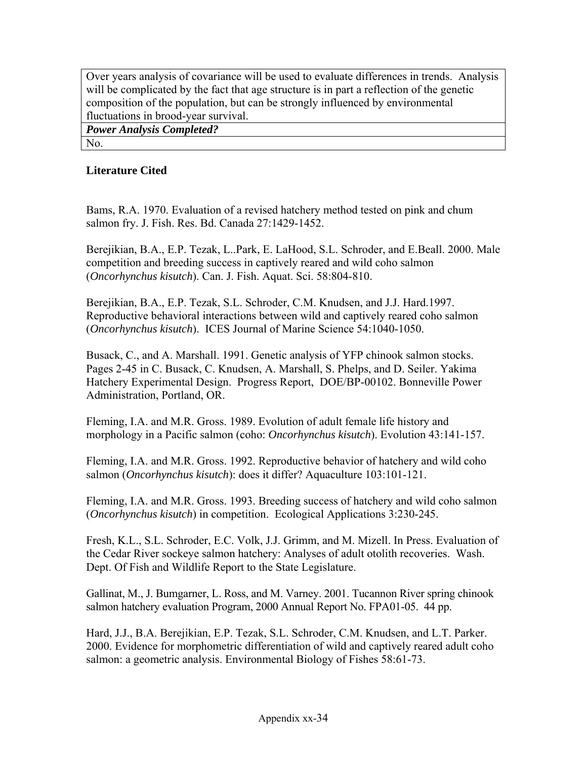Over years analysis of covariance will be used to evaluate differences in trends. Analysis will be complicated by the fact that age structure is in part a reflection of the genetic composition of the population, but can be strongly influenced by environmental fluctuations in brood-year survival.

*Power Analysis Completed?* 

### No.

#### **Literature Cited**

Bams, R.A. 1970. Evaluation of a revised hatchery method tested on pink and chum salmon fry. J. Fish. Res. Bd. Canada 27:1429-1452.

Berejikian, B.A., E.P. Tezak, L..Park, E. LaHood, S.L. Schroder, and E.Beall. 2000. Male competition and breeding success in captively reared and wild coho salmon (*Oncorhynchus kisutch*). Can. J. Fish. Aquat. Sci. 58:804-810.

Berejikian, B.A., E.P. Tezak, S.L. Schroder, C.M. Knudsen, and J.J. Hard.1997. Reproductive behavioral interactions between wild and captively reared coho salmon (*Oncorhynchus kisutch*). ICES Journal of Marine Science 54:1040-1050.

Busack, C., and A. Marshall. 1991. Genetic analysis of YFP chinook salmon stocks. Pages 2-45 in C. Busack, C. Knudsen, A. Marshall, S. Phelps, and D. Seiler. Yakima Hatchery Experimental Design. Progress Report, DOE/BP-00102. Bonneville Power Administration, Portland, OR.

Fleming, I.A. and M.R. Gross. 1989. Evolution of adult female life history and morphology in a Pacific salmon (coho: *Oncorhynchus kisutch*). Evolution 43:141-157.

Fleming, I.A. and M.R. Gross. 1992. Reproductive behavior of hatchery and wild coho salmon (*Oncorhynchus kisutch*): does it differ? Aquaculture 103:101-121.

Fleming, I.A. and M.R. Gross. 1993. Breeding success of hatchery and wild coho salmon (*Oncorhynchus kisutch*) in competition. Ecological Applications 3:230-245.

Fresh, K.L., S.L. Schroder, E.C. Volk, J.J. Grimm, and M. Mizell. In Press. Evaluation of the Cedar River sockeye salmon hatchery: Analyses of adult otolith recoveries. Wash. Dept. Of Fish and Wildlife Report to the State Legislature.

Gallinat, M., J. Bumgarner, L. Ross, and M. Varney. 2001. Tucannon River spring chinook salmon hatchery evaluation Program, 2000 Annual Report No. FPA01-05. 44 pp.

Hard, J.J., B.A. Berejikian, E.P. Tezak, S.L. Schroder, C.M. Knudsen, and L.T. Parker. 2000. Evidence for morphometric differentiation of wild and captively reared adult coho salmon: a geometric analysis. Environmental Biology of Fishes 58:61-73.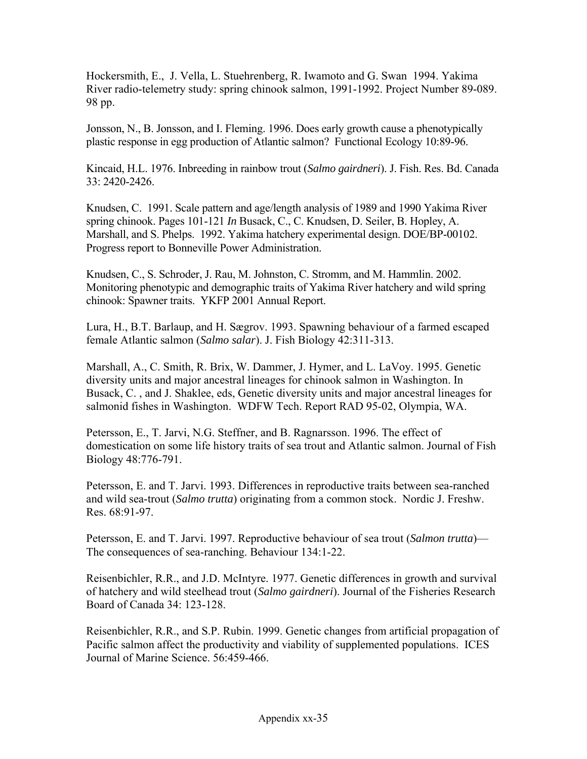Hockersmith, E., J. Vella, L. Stuehrenberg, R. Iwamoto and G. Swan 1994. Yakima River radio-telemetry study: spring chinook salmon, 1991-1992. Project Number 89-089. 98 pp.

Jonsson, N., B. Jonsson, and I. Fleming. 1996. Does early growth cause a phenotypically plastic response in egg production of Atlantic salmon? Functional Ecology 10:89-96.

Kincaid, H.L. 1976. Inbreeding in rainbow trout (*Salmo gairdneri*). J. Fish. Res. Bd. Canada 33: 2420-2426.

Knudsen, C. 1991. Scale pattern and age/length analysis of 1989 and 1990 Yakima River spring chinook. Pages 101-121 *In* Busack, C., C. Knudsen, D. Seiler, B. Hopley, A. Marshall, and S. Phelps. 1992. Yakima hatchery experimental design. DOE/BP-00102. Progress report to Bonneville Power Administration.

Knudsen, C., S. Schroder, J. Rau, M. Johnston, C. Stromm, and M. Hammlin. 2002. Monitoring phenotypic and demographic traits of Yakima River hatchery and wild spring chinook: Spawner traits. YKFP 2001 Annual Report.

Lura, H., B.T. Barlaup, and H. Sægrov. 1993. Spawning behaviour of a farmed escaped female Atlantic salmon (*Salmo salar*). J. Fish Biology 42:311-313.

Marshall, A., C. Smith, R. Brix, W. Dammer, J. Hymer, and L. LaVoy. 1995. Genetic diversity units and major ancestral lineages for chinook salmon in Washington. In Busack, C. , and J. Shaklee, eds, Genetic diversity units and major ancestral lineages for salmonid fishes in Washington. WDFW Tech. Report RAD 95-02, Olympia, WA.

Petersson, E., T. Jarvi, N.G. Steffner, and B. Ragnarsson. 1996. The effect of domestication on some life history traits of sea trout and Atlantic salmon. Journal of Fish Biology 48:776-791.

Petersson, E. and T. Jarvi. 1993. Differences in reproductive traits between sea-ranched and wild sea-trout (*Salmo trutta*) originating from a common stock. Nordic J. Freshw. Res. 68:91-97.

Petersson, E. and T. Jarvi. 1997. Reproductive behaviour of sea trout (*Salmon trutta*)— The consequences of sea-ranching. Behaviour 134:1-22.

Reisenbichler, R.R., and J.D. McIntyre. 1977. Genetic differences in growth and survival of hatchery and wild steelhead trout (*Salmo gairdneri*). Journal of the Fisheries Research Board of Canada 34: 123-128.

Reisenbichler, R.R., and S.P. Rubin. 1999. Genetic changes from artificial propagation of Pacific salmon affect the productivity and viability of supplemented populations. ICES Journal of Marine Science. 56:459-466.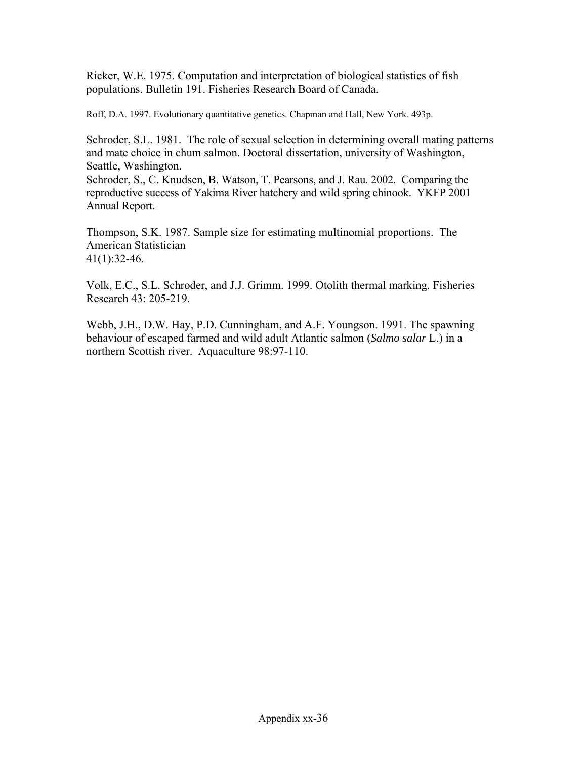Ricker, W.E. 1975. Computation and interpretation of biological statistics of fish populations. Bulletin 191. Fisheries Research Board of Canada.

Roff, D.A. 1997. Evolutionary quantitative genetics. Chapman and Hall, New York. 493p.

Schroder, S.L. 1981. The role of sexual selection in determining overall mating patterns and mate choice in chum salmon. Doctoral dissertation, university of Washington, Seattle, Washington.

Schroder, S., C. Knudsen, B. Watson, T. Pearsons, and J. Rau. 2002. Comparing the reproductive success of Yakima River hatchery and wild spring chinook. YKFP 2001 Annual Report.

Thompson, S.K. 1987. Sample size for estimating multinomial proportions. The American Statistician  $41(1):32-46.$ 

Volk, E.C., S.L. Schroder, and J.J. Grimm. 1999. Otolith thermal marking. Fisheries Research 43: 205-219.

Webb, J.H., D.W. Hay, P.D. Cunningham, and A.F. Youngson. 1991. The spawning behaviour of escaped farmed and wild adult Atlantic salmon (*Salmo salar* L.) in a northern Scottish river. Aquaculture 98:97-110.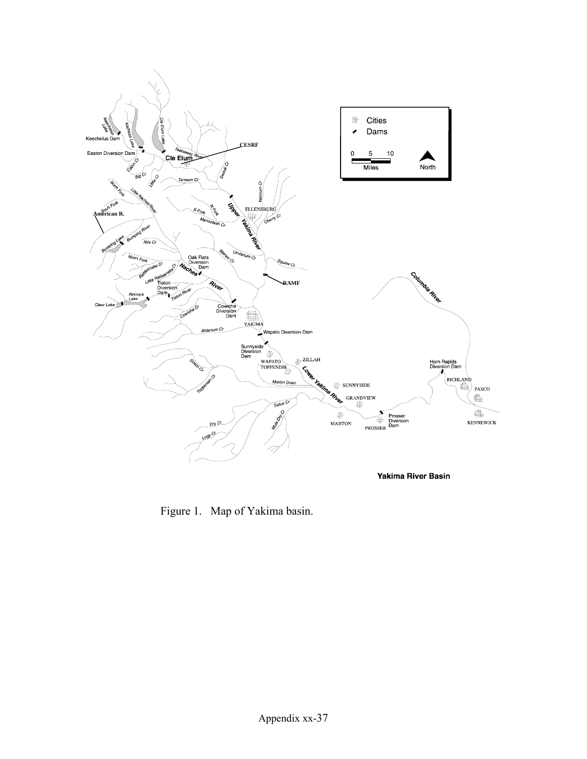

Figure 1. Map of Yakima basin.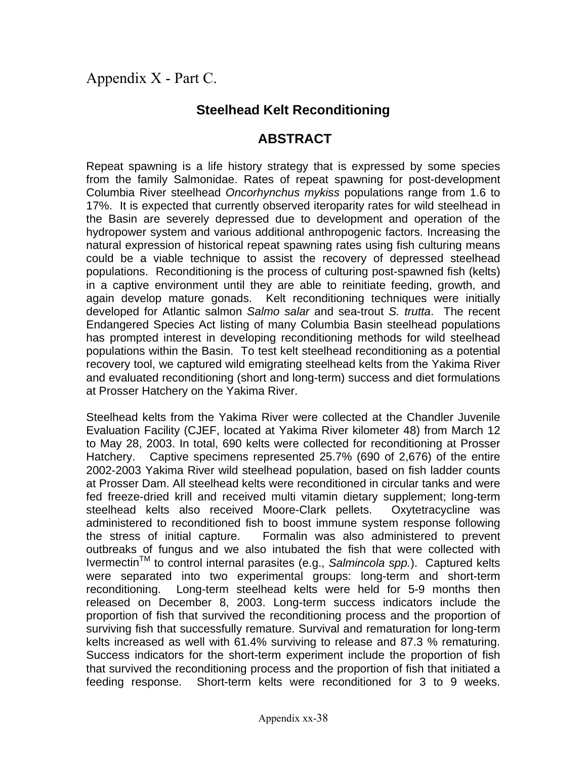## Appendix X - Part C.

## **Steelhead Kelt Reconditioning**

## **ABSTRACT**

Repeat spawning is a life history strategy that is expressed by some species from the family Salmonidae. Rates of repeat spawning for post-development Columbia River steelhead *Oncorhynchus mykiss* populations range from 1.6 to 17%. It is expected that currently observed iteroparity rates for wild steelhead in the Basin are severely depressed due to development and operation of the hydropower system and various additional anthropogenic factors. Increasing the natural expression of historical repeat spawning rates using fish culturing means could be a viable technique to assist the recovery of depressed steelhead populations. Reconditioning is the process of culturing post-spawned fish (kelts) in a captive environment until they are able to reinitiate feeding, growth, and again develop mature gonads. Kelt reconditioning techniques were initially developed for Atlantic salmon *Salmo salar* and sea-trout *S. trutta*.The recent Endangered Species Act listing of many Columbia Basin steelhead populations has prompted interest in developing reconditioning methods for wild steelhead populations within the Basin. To test kelt steelhead reconditioning as a potential recovery tool, we captured wild emigrating steelhead kelts from the Yakima River and evaluated reconditioning (short and long-term) success and diet formulations at Prosser Hatchery on the Yakima River.

Steelhead kelts from the Yakima River were collected at the Chandler Juvenile Evaluation Facility (CJEF, located at Yakima River kilometer 48) from March 12 to May 28, 2003. In total, 690 kelts were collected for reconditioning at Prosser Hatchery. Captive specimens represented 25.7% (690 of 2,676) of the entire 2002-2003 Yakima River wild steelhead population, based on fish ladder counts at Prosser Dam. All steelhead kelts were reconditioned in circular tanks and were fed freeze-dried krill and received multi vitamin dietary supplement; long-term steelhead kelts also received Moore-Clark pellets. Oxytetracycline was administered to reconditioned fish to boost immune system response following the stress of initial capture. Formalin was also administered to prevent outbreaks of fungus and we also intubated the fish that were collected with Ivermectin<sup>™</sup> to control internal parasites (e.g., *Salmincola spp.*). Captured kelts were separated into two experimental groups: long-term and short-term reconditioning. Long-term steelhead kelts were held for 5-9 months then released on December 8, 2003. Long-term success indicators include the proportion of fish that survived the reconditioning process and the proportion of surviving fish that successfully remature. Survival and rematuration for long-term kelts increased as well with 61.4% surviving to release and 87.3 % rematuring. Success indicators for the short-term experiment include the proportion of fish that survived the reconditioning process and the proportion of fish that initiated a feeding response. Short-term kelts were reconditioned for 3 to 9 weeks.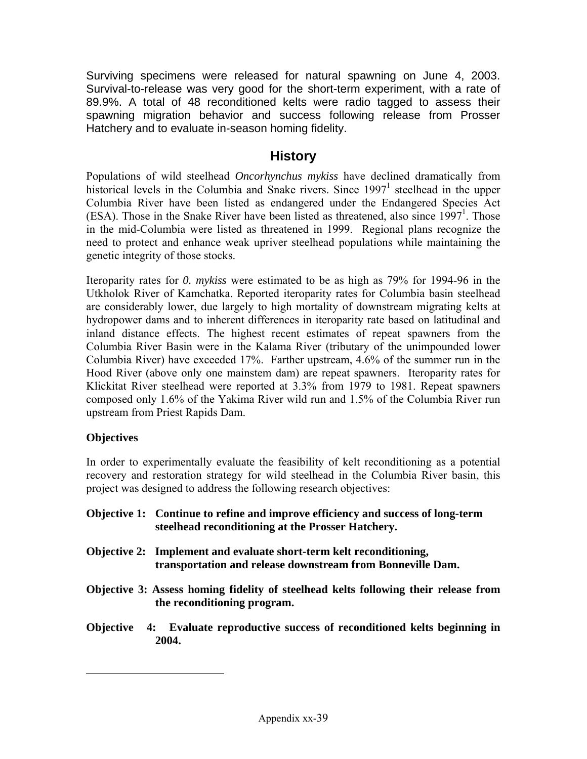Surviving specimens were released for natural spawning on June 4, 2003. Survival-to-release was very good for the short-term experiment, with a rate of 89.9%. A total of 48 reconditioned kelts were radio tagged to assess their spawning migration behavior and success following release from Prosser Hatchery and to evaluate in-season homing fidelity.

## **History**

Populations of wild steelhead *Oncorhynchus mykiss* have declined dramatically from historical levels in the Columbia and Snake rivers. Since  $1997<sup>1</sup>$  $1997<sup>1</sup>$  steelhead in the upper Columbia River have been listed as endangered under the Endangered Species Act (ESA). Those in the Snake River have been listed as threatened, also since  $1997<sup>1</sup>$ . Those in the mid-Columbia were listed as threatened in 1999. Regional plans recognize the need to protect and enhance weak upriver steelhead populations while maintaining the genetic integrity of those stocks.

Iteroparity rates for *0. mykiss* were estimated to be as high as 79% for 1994-96 in the Utkholok River of Kamchatka. Reported iteroparity rates for Columbia basin steelhead are considerably lower, due largely to high mortality of downstream migrating kelts at hydropower dams and to inherent differences in iteroparity rate based on latitudinal and inland distance effects. The highest recent estimates of repeat spawners from the Columbia River Basin were in the Kalama River (tributary of the unimpounded lower Columbia River) have exceeded 17%. Farther upstream, 4.6% of the summer run in the Hood River (above only one mainstem dam) are repeat spawners. Iteroparity rates for Klickitat River steelhead were reported at 3.3% from 1979 to 1981. Repeat spawners composed only 1.6% of the Yakima River wild run and 1.5% of the Columbia River run upstream from Priest Rapids Dam.

#### **Objectives**

<u>.</u>

In order to experimentally evaluate the feasibility of kelt reconditioning as a potential recovery and restoration strategy for wild steelhead in the Columbia River basin, this project was designed to address the following research objectives:

- **Objective 1: Continue to refine and improve efficiency and success of long-term steelhead reconditioning at the Prosser Hatchery.**
- **Objective 2: Implement and evaluate short-term kelt reconditioning, transportation and release downstream from Bonneville Dam.**
- **Objective 3: Assess homing fidelity of steelhead kelts following their release from the reconditioning program.**
- **Objective 4: Evaluate reproductive success of reconditioned kelts beginning in 2004.**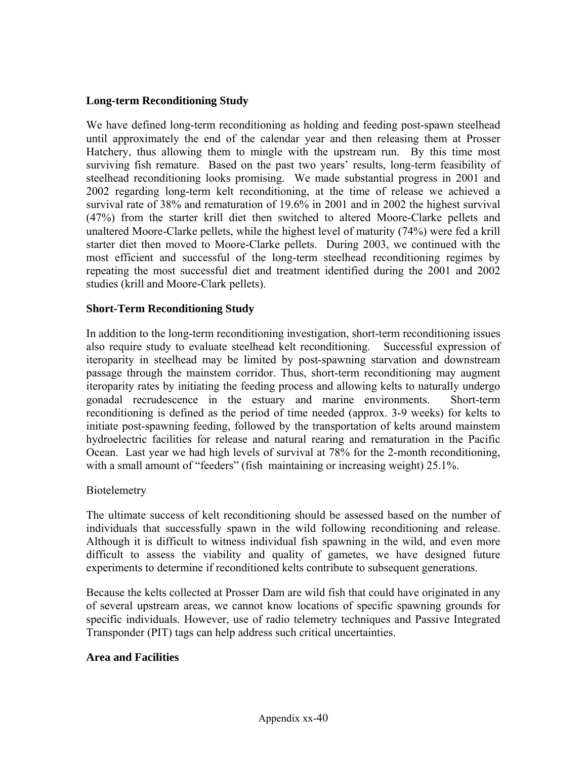#### **Long-term Reconditioning Study**

We have defined long-term reconditioning as holding and feeding post-spawn steelhead until approximately the end of the calendar year and then releasing them at Prosser Hatchery, thus allowing them to mingle with the upstream run. By this time most surviving fish remature. Based on the past two years' results, long-term feasibility of steelhead reconditioning looks promising. We made substantial progress in 2001 and 2002 regarding long-term kelt reconditioning, at the time of release we achieved a survival rate of 38% and rematuration of 19.6% in 2001 and in 2002 the highest survival (47%) from the starter krill diet then switched to altered Moore-Clarke pellets and unaltered Moore-Clarke pellets, while the highest level of maturity (74%) were fed a krill starter diet then moved to Moore-Clarke pellets. During 2003, we continued with the most efficient and successful of the long-term steelhead reconditioning regimes by repeating the most successful diet and treatment identified during the 2001 and 2002 studies (krill and Moore-Clark pellets).

#### **Short-Term Reconditioning Study**

In addition to the long-term reconditioning investigation, short-term reconditioning issues also require study to evaluate steelhead kelt reconditioning. Successful expression of iteroparity in steelhead may be limited by post-spawning starvation and downstream passage through the mainstem corridor. Thus, short-term reconditioning may augment iteroparity rates by initiating the feeding process and allowing kelts to naturally undergo gonadal recrudescence in the estuary and marine environments. Short-term reconditioning is defined as the period of time needed (approx. 3-9 weeks) for kelts to initiate post-spawning feeding, followed by the transportation of kelts around mainstem hydroelectric facilities for release and natural rearing and rematuration in the Pacific Ocean. Last year we had high levels of survival at 78% for the 2-month reconditioning, with a small amount of "feeders" (fish maintaining or increasing weight) 25.1%.

#### Biotelemetry

The ultimate success of kelt reconditioning should be assessed based on the number of individuals that successfully spawn in the wild following reconditioning and release. Although it is difficult to witness individual fish spawning in the wild, and even more difficult to assess the viability and quality of gametes, we have designed future experiments to determine if reconditioned kelts contribute to subsequent generations.

Because the kelts collected at Prosser Dam are wild fish that could have originated in any of several upstream areas, we cannot know locations of specific spawning grounds for specific individuals. However, use of radio telemetry techniques and Passive Integrated Transponder (PIT) tags can help address such critical uncertainties.

#### **Area and Facilities**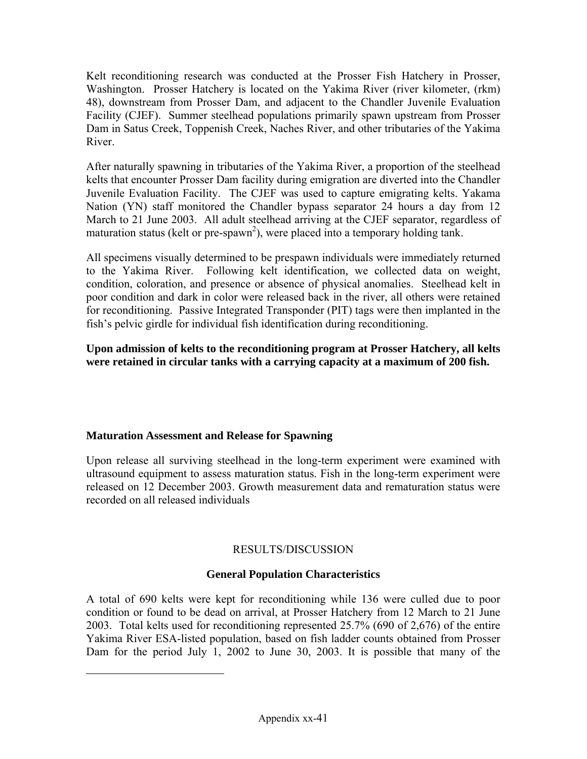<span id="page-40-1"></span>Kelt reconditioning research was conducted at the Prosser Fish Hatchery in Prosser, Washington. Prosser Hatchery is located on the Yakima River (river kilometer, (rkm) 48), downstream from Prosser Dam, and adjacent to the Chandler Juvenile Evaluation Facility (CJEF). Summer steelhead populations primarily spawn upstream from Prosser Dam in Satus Creek, Toppenish Creek, Naches River, and other tributaries of the Yakima River.

After naturally spawning in tributaries of the Yakima River, a proportion of the steelhead kelts that encounter Prosser Dam facility during emigration are diverted into the Chandler Juvenile Evaluation Facility. The CJEF was used to capture emigrating kelts. Yakama Nation (YN) staff monitored the Chandler bypass separator 24 hours a day from 12 March to 21 June 2003. All adult steelhead arriving at the CJEF separator, regardless of maturation status (kelt or pre-spawn<sup>2</sup>), were placed into a temporary holding tank.

All specimens visually determined to be prespawn individuals were immediately returned to the Yakima River. Following kelt identification*,* we collected data on weight, condition, coloration, and presence or absence of physical anomalies. Steelhead kelt in poor condition and dark in color were released back in the river, all others were retained for reconditioning. Passive Integrated Transponder (PIT) tags were then implanted in the fish's pelvic girdle for individual fish identification during reconditioning.

**Upon admission of kelts to the reconditioning program at Prosser Hatchery, all kelts were retained in circular tanks with a carrying capacity at a maximum of 200 fish.** 

#### **Maturation Assessment and Release for Spawning**

<span id="page-40-0"></span> $\overline{a}$ 

Upon release all surviving steelhead in the long-term experiment were examined with ultrasound equipment to assess maturation status. Fish in the long-term experiment were released on 12 December 2003. Growth measurement data and rematuration status were recorded on all released individuals

#### RESULTS/DISCUSSION

#### **General Population Characteristics**

A total of 690 kelts were kept for reconditioning while 136 were culled due to poor condition or found to be dead on arrival, at Prosser Hatchery from 12 March to 21 June 2003. Total kelts used for reconditioning represented 25.7% (690 of 2,676) of the entire Yakima River ESA-listed population, based on fish ladder counts obtained from Prosser Dam for the period July 1, 2002 to June 30, 2003. It is possible that many of the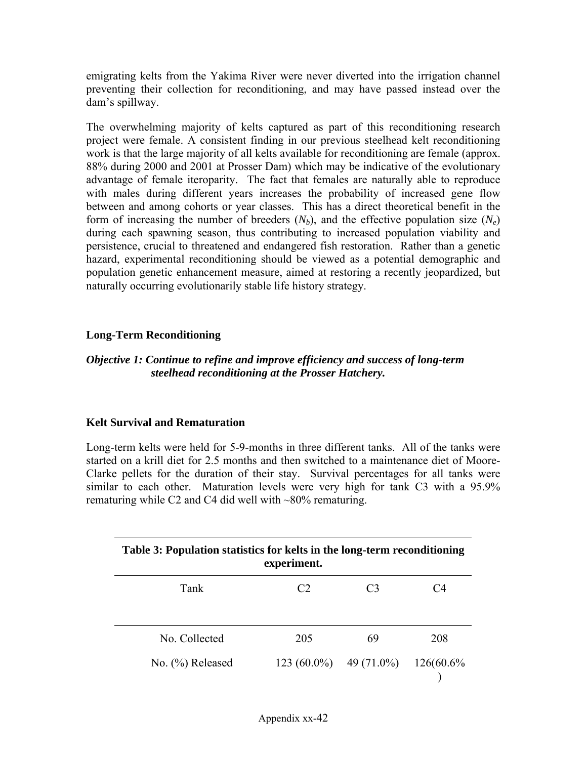emigrating kelts from the Yakima River were never diverted into the irrigation channel preventing their collection for reconditioning, and may have passed instead over the dam's spillway.

The overwhelming majority of kelts captured as part of this reconditioning research project were female. A consistent finding in our previous steelhead kelt reconditioning work is that the large majority of all kelts available for reconditioning are female (approx. 88% during 2000 and 2001 at Prosser Dam) which may be indicative of the evolutionary advantage of female iteroparity. The fact that females are naturally able to reproduce with males during different years increases the probability of increased gene flow between and among cohorts or year classes. This has a direct theoretical benefit in the form of increasing the number of breeders  $(N_b)$ , and the effective population size  $(N_e)$ during each spawning season, thus contributing to increased population viability and persistence, crucial to threatened and endangered fish restoration. Rather than a genetic hazard, experimental reconditioning should be viewed as a potential demographic and population genetic enhancement measure, aimed at restoring a recently jeopardized, but naturally occurring evolutionarily stable life history strategy.

#### **Long-Term Reconditioning**

#### *Objective 1: Continue to refine and improve efficiency and success of long-term steelhead reconditioning at the Prosser Hatchery.*

#### **Kelt Survival and Rematuration**

Long-term kelts were held for 5-9-months in three different tanks. All of the tanks were started on a krill diet for 2.5 months and then switched to a maintenance diet of Moore-Clarke pellets for the duration of their stay. Survival percentages for all tanks were similar to each other. Maturation levels were very high for tank C3 with a 95.9% rematuring while C2 and C4 did well with ~80% rematuring.

| Table 3: Population statistics for kelts in the long-term reconditioning<br>experiment. |                          |                |           |  |  |  |
|-----------------------------------------------------------------------------------------|--------------------------|----------------|-----------|--|--|--|
| Tank                                                                                    | $\mathcal{C}$            | C <sub>3</sub> | Ω4        |  |  |  |
| No. Collected                                                                           | 205                      | 69             | 208       |  |  |  |
| No. (%) Released                                                                        | $123(60.0\%)$ 49 (71.0%) |                | 126(60.6% |  |  |  |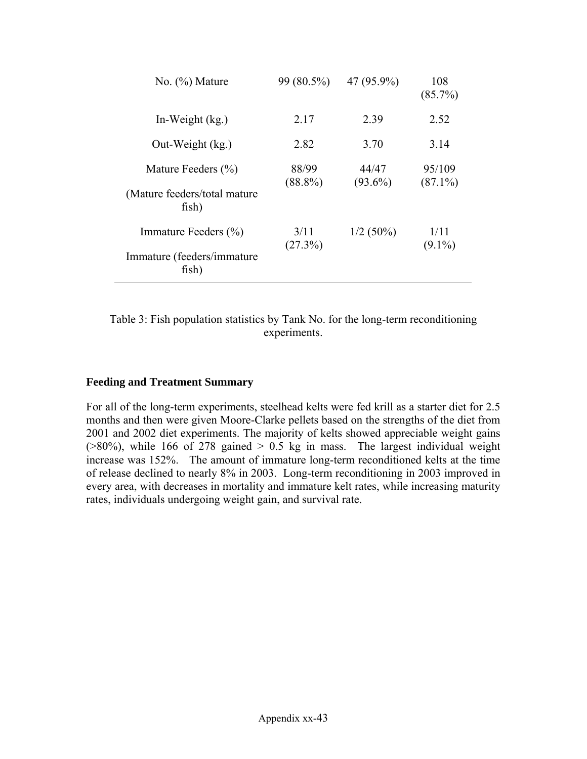| No. $(\%)$ Mature                                                     | 99 (80.5%)          | 47 (95.9%)          | 108<br>$(85.7\%)$    |
|-----------------------------------------------------------------------|---------------------|---------------------|----------------------|
| In-Weight $(kg)$ .                                                    | 2.17                | 2.39                | 2.52                 |
| Out-Weight (kg.)                                                      | 2.82                | 3.70                | 3.14                 |
| Mature Feeders $(\% )$<br>(Mature feeders/total mature)               | 88/99<br>$(88.8\%)$ | 44/47<br>$(93.6\%)$ | 95/109<br>$(87.1\%)$ |
| fish)<br>Immature Feeders (%)<br>Immature (feeders/immature)<br>fish) | 3/11<br>(27.3%)     | $1/2(50\%)$         | 1/11<br>$(9.1\%)$    |

Table 3: Fish population statistics by Tank No. for the long-term reconditioning experiments.

#### **Feeding and Treatment Summary**

 $\overline{\phantom{0}}$ 

For all of the long-term experiments, steelhead kelts were fed krill as a starter diet for 2.5 months and then were given Moore-Clarke pellets based on the strengths of the diet from 2001 and 2002 diet experiments. The majority of kelts showed appreciable weight gains  $(>80\%)$ , while 166 of 278 gained  $> 0.5$  kg in mass. The largest individual weight increase was 152%. The amount of immature long-term reconditioned kelts at the time of release declined to nearly 8% in 2003. Long-term reconditioning in 2003 improved in every area, with decreases in mortality and immature kelt rates, while increasing maturity rates, individuals undergoing weight gain, and survival rate.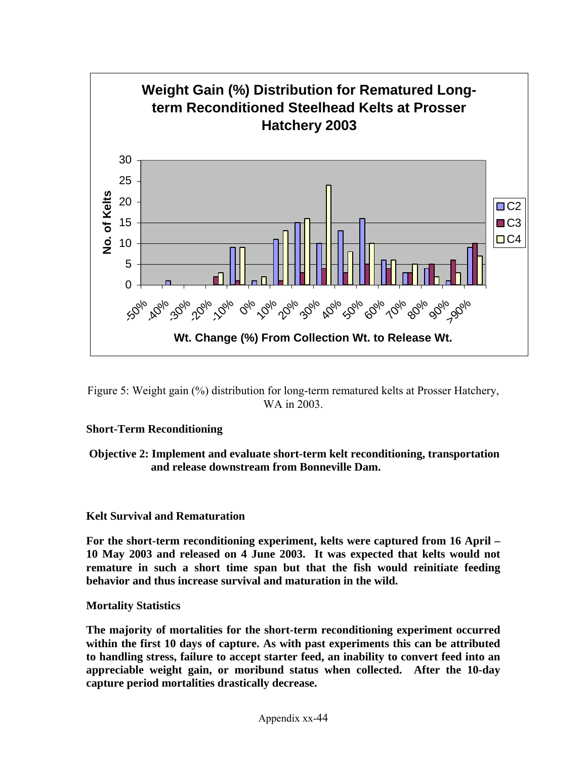

Figure 5: Weight gain (%) distribution for long-term rematured kelts at Prosser Hatchery, WA in 2003.

#### **Short-Term Reconditioning**

#### **Objective 2: Implement and evaluate short-term kelt reconditioning, transportation and release downstream from Bonneville Dam.**

#### **Kelt Survival and Rematuration**

**For the short-term reconditioning experiment, kelts were captured from 16 April – 10 May 2003 and released on 4 June 2003. It was expected that kelts would not remature in such a short time span but that the fish would reinitiate feeding behavior and thus increase survival and maturation in the wild.** 

**Mortality Statistics** 

**The majority of mortalities for the short-term reconditioning experiment occurred within the first 10 days of capture. As with past experiments this can be attributed to handling stress, failure to accept starter feed, an inability to convert feed into an appreciable weight gain, or moribund status when collected. After the 10-day capture period mortalities drastically decrease.**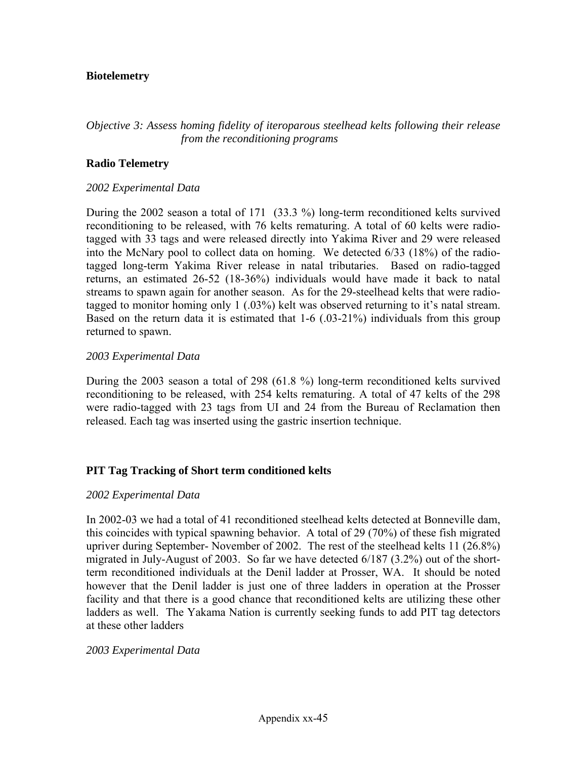#### **Biotelemetry**

#### *Objective 3: Assess homing fidelity of iteroparous steelhead kelts following their release from the reconditioning programs*

#### **Radio Telemetry**

#### *2002 Experimental Data*

During the 2002 season a total of 171 (33.3 %) long-term reconditioned kelts survived reconditioning to be released, with 76 kelts rematuring. A total of 60 kelts were radiotagged with 33 tags and were released directly into Yakima River and 29 were released into the McNary pool to collect data on homing. We detected 6/33 (18%) of the radiotagged long-term Yakima River release in natal tributaries. Based on radio-tagged returns, an estimated 26-52 (18-36%) individuals would have made it back to natal streams to spawn again for another season. As for the 29-steelhead kelts that were radiotagged to monitor homing only 1 (.03%) kelt was observed returning to it's natal stream. Based on the return data it is estimated that 1-6 (.03-21%) individuals from this group returned to spawn.

#### *2003 Experimental Data*

During the 2003 season a total of 298 (61.8 %) long-term reconditioned kelts survived reconditioning to be released, with 254 kelts rematuring. A total of 47 kelts of the 298 were radio-tagged with 23 tags from UI and 24 from the Bureau of Reclamation then released. Each tag was inserted using the gastric insertion technique.

#### **PIT Tag Tracking of Short term conditioned kelts**

#### *2002 Experimental Data*

In 2002-03 we had a total of 41 reconditioned steelhead kelts detected at Bonneville dam, this coincides with typical spawning behavior. A total of 29 (70%) of these fish migrated upriver during September- November of 2002. The rest of the steelhead kelts 11 (26.8%) migrated in July-August of 2003. So far we have detected 6/187 (3.2%) out of the shortterm reconditioned individuals at the Denil ladder at Prosser, WA. It should be noted however that the Denil ladder is just one of three ladders in operation at the Prosser facility and that there is a good chance that reconditioned kelts are utilizing these other ladders as well. The Yakama Nation is currently seeking funds to add PIT tag detectors at these other ladders

#### *2003 Experimental Data*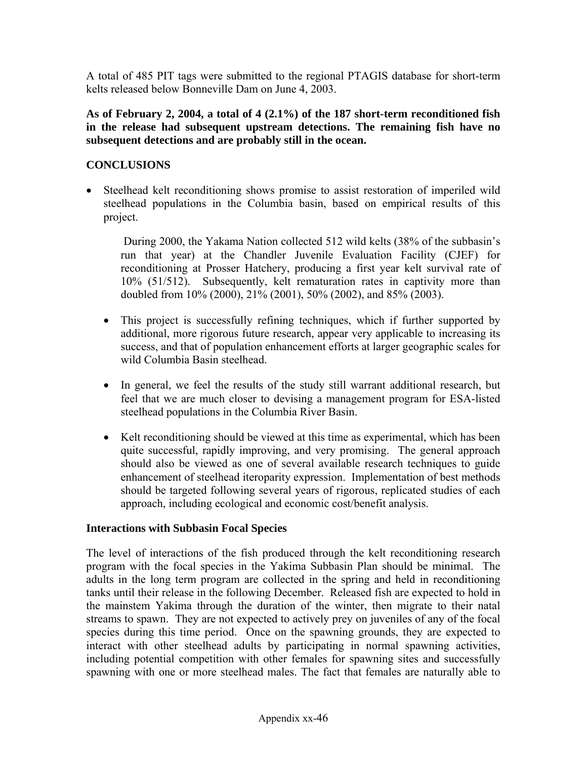A total of 485 PIT tags were submitted to the regional PTAGIS database for short-term kelts released below Bonneville Dam on June 4, 2003.

**As of February 2, 2004, a total of 4 (2.1%) of the 187 short-term reconditioned fish in the release had subsequent upstream detections. The remaining fish have no subsequent detections and are probably still in the ocean.** 

#### **CONCLUSIONS**

• Steelhead kelt reconditioning shows promise to assist restoration of imperiled wild steelhead populations in the Columbia basin, based on empirical results of this project.

During 2000, the Yakama Nation collected 512 wild kelts (38% of the subbasin's run that year) at the Chandler Juvenile Evaluation Facility (CJEF) for reconditioning at Prosser Hatchery, producing a first year kelt survival rate of 10% (51/512). Subsequently, kelt rematuration rates in captivity more than doubled from 10% (2000), 21% (2001), 50% (2002), and 85% (2003).

- This project is successfully refining techniques, which if further supported by additional, more rigorous future research, appear very applicable to increasing its success, and that of population enhancement efforts at larger geographic scales for wild Columbia Basin steelhead.
- In general, we feel the results of the study still warrant additional research, but feel that we are much closer to devising a management program for ESA-listed steelhead populations in the Columbia River Basin.
- Kelt reconditioning should be viewed at this time as experimental, which has been quite successful, rapidly improving, and very promising. The general approach should also be viewed as one of several available research techniques to guide enhancement of steelhead iteroparity expression. Implementation of best methods should be targeted following several years of rigorous, replicated studies of each approach, including ecological and economic cost/benefit analysis.

#### **Interactions with Subbasin Focal Species**

The level of interactions of the fish produced through the kelt reconditioning research program with the focal species in the Yakima Subbasin Plan should be minimal. The adults in the long term program are collected in the spring and held in reconditioning tanks until their release in the following December. Released fish are expected to hold in the mainstem Yakima through the duration of the winter, then migrate to their natal streams to spawn. They are not expected to actively prey on juveniles of any of the focal species during this time period. Once on the spawning grounds, they are expected to interact with other steelhead adults by participating in normal spawning activities, including potential competition with other females for spawning sites and successfully spawning with one or more steelhead males. The fact that females are naturally able to